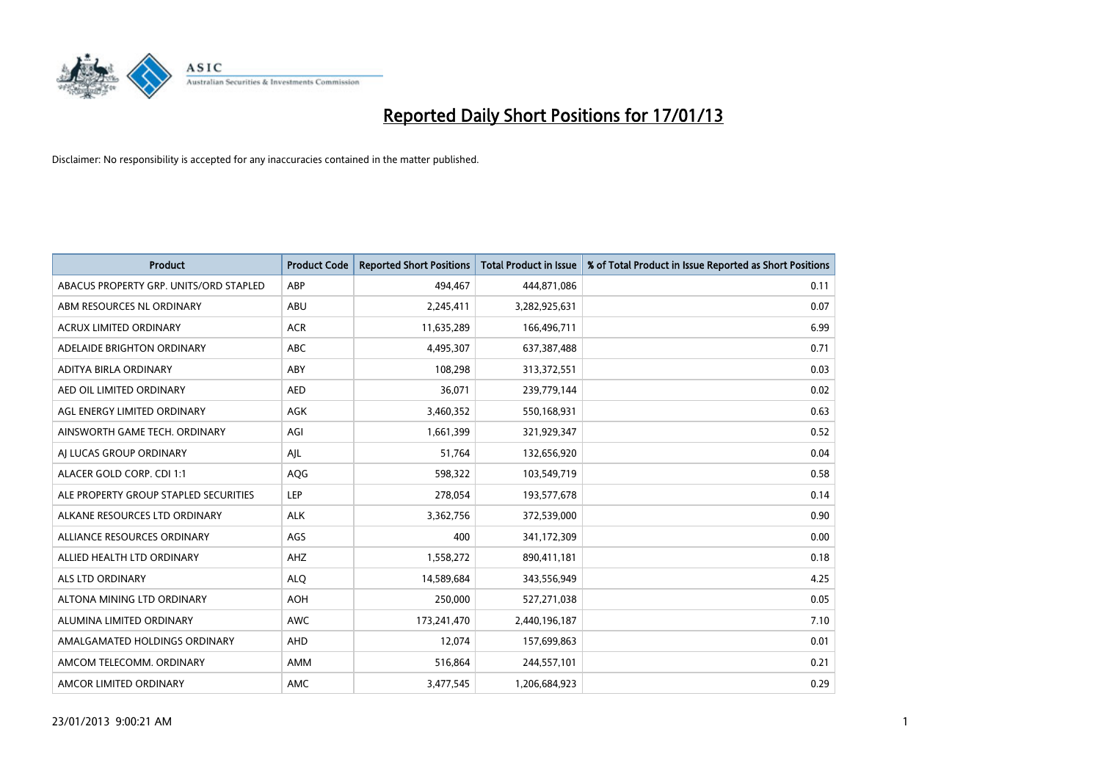

| <b>Product</b>                         | <b>Product Code</b> | <b>Reported Short Positions</b> | Total Product in Issue | % of Total Product in Issue Reported as Short Positions |
|----------------------------------------|---------------------|---------------------------------|------------------------|---------------------------------------------------------|
| ABACUS PROPERTY GRP. UNITS/ORD STAPLED | ABP                 | 494,467                         | 444,871,086            | 0.11                                                    |
| ABM RESOURCES NL ORDINARY              | ABU                 | 2,245,411                       | 3,282,925,631          | 0.07                                                    |
| <b>ACRUX LIMITED ORDINARY</b>          | <b>ACR</b>          | 11,635,289                      | 166,496,711            | 6.99                                                    |
| ADELAIDE BRIGHTON ORDINARY             | <b>ABC</b>          | 4,495,307                       | 637, 387, 488          | 0.71                                                    |
| <b>ADITYA BIRLA ORDINARY</b>           | ABY                 | 108.298                         | 313,372,551            | 0.03                                                    |
| AED OIL LIMITED ORDINARY               | <b>AED</b>          | 36,071                          | 239,779,144            | 0.02                                                    |
| AGL ENERGY LIMITED ORDINARY            | AGK                 | 3,460,352                       | 550,168,931            | 0.63                                                    |
| AINSWORTH GAME TECH. ORDINARY          | AGI                 | 1,661,399                       | 321,929,347            | 0.52                                                    |
| AJ LUCAS GROUP ORDINARY                | AJL                 | 51,764                          | 132,656,920            | 0.04                                                    |
| ALACER GOLD CORP. CDI 1:1              | AQG                 | 598,322                         | 103,549,719            | 0.58                                                    |
| ALE PROPERTY GROUP STAPLED SECURITIES  | <b>LEP</b>          | 278,054                         | 193,577,678            | 0.14                                                    |
| ALKANE RESOURCES LTD ORDINARY          | <b>ALK</b>          | 3,362,756                       | 372,539,000            | 0.90                                                    |
| ALLIANCE RESOURCES ORDINARY            | AGS                 | 400                             | 341,172,309            | 0.00                                                    |
| ALLIED HEALTH LTD ORDINARY             | AHZ                 | 1,558,272                       | 890,411,181            | 0.18                                                    |
| <b>ALS LTD ORDINARY</b>                | <b>ALO</b>          | 14,589,684                      | 343,556,949            | 4.25                                                    |
| ALTONA MINING LTD ORDINARY             | <b>AOH</b>          | 250,000                         | 527,271,038            | 0.05                                                    |
| ALUMINA LIMITED ORDINARY               | <b>AWC</b>          | 173,241,470                     | 2,440,196,187          | 7.10                                                    |
| AMALGAMATED HOLDINGS ORDINARY          | AHD                 | 12,074                          | 157,699,863            | 0.01                                                    |
| AMCOM TELECOMM, ORDINARY               | AMM                 | 516,864                         | 244,557,101            | 0.21                                                    |
| AMCOR LIMITED ORDINARY                 | <b>AMC</b>          | 3,477,545                       | 1,206,684,923          | 0.29                                                    |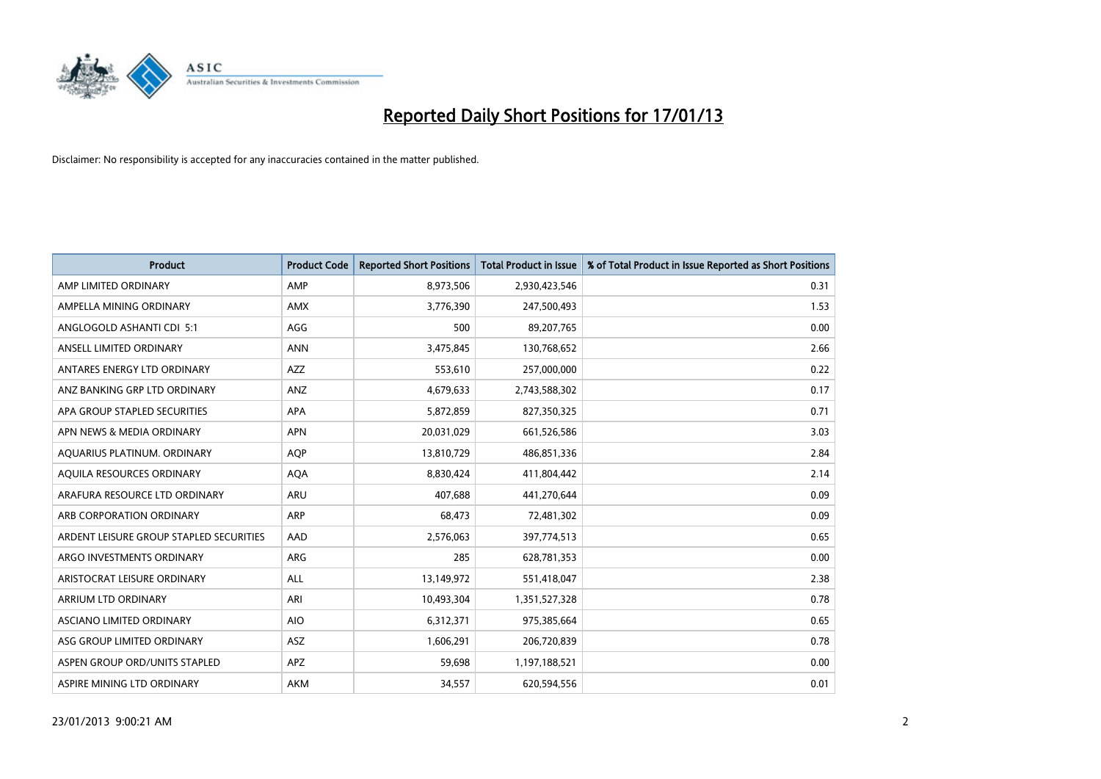

| <b>Product</b>                          | <b>Product Code</b> | <b>Reported Short Positions</b> | <b>Total Product in Issue</b> | % of Total Product in Issue Reported as Short Positions |
|-----------------------------------------|---------------------|---------------------------------|-------------------------------|---------------------------------------------------------|
| AMP LIMITED ORDINARY                    | AMP                 | 8,973,506                       | 2,930,423,546                 | 0.31                                                    |
| AMPELLA MINING ORDINARY                 | <b>AMX</b>          | 3,776,390                       | 247,500,493                   | 1.53                                                    |
| ANGLOGOLD ASHANTI CDI 5:1               | AGG                 | 500                             | 89,207,765                    | 0.00                                                    |
| ANSELL LIMITED ORDINARY                 | <b>ANN</b>          | 3,475,845                       | 130,768,652                   | 2.66                                                    |
| ANTARES ENERGY LTD ORDINARY             | <b>AZZ</b>          | 553,610                         | 257,000,000                   | 0.22                                                    |
| ANZ BANKING GRP LTD ORDINARY            | ANZ                 | 4,679,633                       | 2,743,588,302                 | 0.17                                                    |
| APA GROUP STAPLED SECURITIES            | <b>APA</b>          | 5,872,859                       | 827,350,325                   | 0.71                                                    |
| APN NEWS & MEDIA ORDINARY               | <b>APN</b>          | 20,031,029                      | 661,526,586                   | 3.03                                                    |
| AQUARIUS PLATINUM. ORDINARY             | <b>AOP</b>          | 13,810,729                      | 486,851,336                   | 2.84                                                    |
| AQUILA RESOURCES ORDINARY               | <b>AQA</b>          | 8,830,424                       | 411,804,442                   | 2.14                                                    |
| ARAFURA RESOURCE LTD ORDINARY           | ARU                 | 407,688                         | 441,270,644                   | 0.09                                                    |
| ARB CORPORATION ORDINARY                | <b>ARP</b>          | 68,473                          | 72,481,302                    | 0.09                                                    |
| ARDENT LEISURE GROUP STAPLED SECURITIES | AAD                 | 2,576,063                       | 397,774,513                   | 0.65                                                    |
| ARGO INVESTMENTS ORDINARY               | ARG                 | 285                             | 628,781,353                   | 0.00                                                    |
| ARISTOCRAT LEISURE ORDINARY             | <b>ALL</b>          | 13,149,972                      | 551,418,047                   | 2.38                                                    |
| ARRIUM LTD ORDINARY                     | ARI                 | 10,493,304                      | 1,351,527,328                 | 0.78                                                    |
| ASCIANO LIMITED ORDINARY                | <b>AIO</b>          | 6,312,371                       | 975,385,664                   | 0.65                                                    |
| ASG GROUP LIMITED ORDINARY              | <b>ASZ</b>          | 1,606,291                       | 206,720,839                   | 0.78                                                    |
| ASPEN GROUP ORD/UNITS STAPLED           | <b>APZ</b>          | 59,698                          | 1,197,188,521                 | 0.00                                                    |
| ASPIRE MINING LTD ORDINARY              | <b>AKM</b>          | 34,557                          | 620,594,556                   | 0.01                                                    |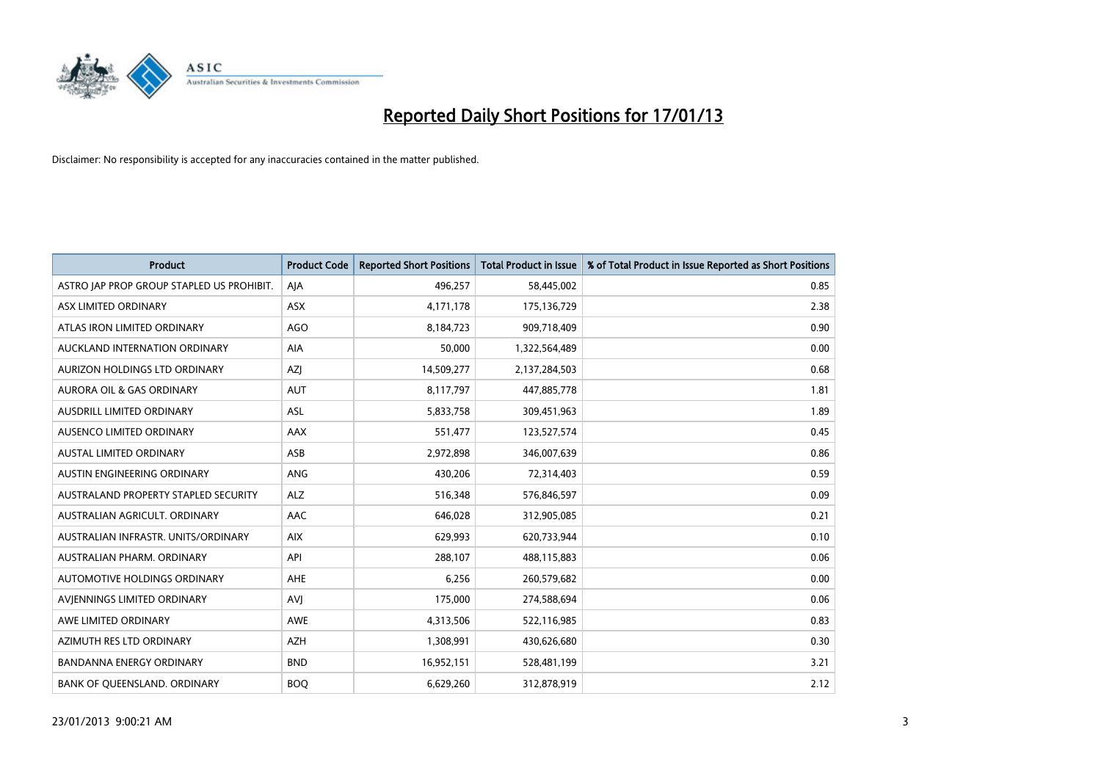

| <b>Product</b>                            | <b>Product Code</b> | <b>Reported Short Positions</b> | <b>Total Product in Issue</b> | % of Total Product in Issue Reported as Short Positions |
|-------------------------------------------|---------------------|---------------------------------|-------------------------------|---------------------------------------------------------|
| ASTRO JAP PROP GROUP STAPLED US PROHIBIT. | AJA                 | 496,257                         | 58,445,002                    | 0.85                                                    |
| ASX LIMITED ORDINARY                      | <b>ASX</b>          | 4,171,178                       | 175,136,729                   | 2.38                                                    |
| ATLAS IRON LIMITED ORDINARY               | AGO                 | 8,184,723                       | 909,718,409                   | 0.90                                                    |
| AUCKLAND INTERNATION ORDINARY             | <b>AIA</b>          | 50,000                          | 1,322,564,489                 | 0.00                                                    |
| AURIZON HOLDINGS LTD ORDINARY             | <b>AZI</b>          | 14,509,277                      | 2,137,284,503                 | 0.68                                                    |
| <b>AURORA OIL &amp; GAS ORDINARY</b>      | <b>AUT</b>          | 8,117,797                       | 447,885,778                   | 1.81                                                    |
| AUSDRILL LIMITED ORDINARY                 | ASL                 | 5,833,758                       | 309,451,963                   | 1.89                                                    |
| <b>AUSENCO LIMITED ORDINARY</b>           | AAX                 | 551,477                         | 123,527,574                   | 0.45                                                    |
| <b>AUSTAL LIMITED ORDINARY</b>            | ASB                 | 2,972,898                       | 346,007,639                   | 0.86                                                    |
| AUSTIN ENGINEERING ORDINARY               | <b>ANG</b>          | 430,206                         | 72,314,403                    | 0.59                                                    |
| AUSTRALAND PROPERTY STAPLED SECURITY      | <b>ALZ</b>          | 516,348                         | 576,846,597                   | 0.09                                                    |
| AUSTRALIAN AGRICULT. ORDINARY             | AAC                 | 646,028                         | 312,905,085                   | 0.21                                                    |
| AUSTRALIAN INFRASTR, UNITS/ORDINARY       | <b>AIX</b>          | 629,993                         | 620,733,944                   | 0.10                                                    |
| AUSTRALIAN PHARM, ORDINARY                | API                 | 288,107                         | 488,115,883                   | 0.06                                                    |
| AUTOMOTIVE HOLDINGS ORDINARY              | <b>AHE</b>          | 6,256                           | 260,579,682                   | 0.00                                                    |
| AVJENNINGS LIMITED ORDINARY               | AVJ                 | 175,000                         | 274,588,694                   | 0.06                                                    |
| AWE LIMITED ORDINARY                      | <b>AWE</b>          | 4,313,506                       | 522,116,985                   | 0.83                                                    |
| AZIMUTH RES LTD ORDINARY                  | <b>AZH</b>          | 1,308,991                       | 430,626,680                   | 0.30                                                    |
| <b>BANDANNA ENERGY ORDINARY</b>           | <b>BND</b>          | 16,952,151                      | 528,481,199                   | 3.21                                                    |
| BANK OF QUEENSLAND. ORDINARY              | <b>BOQ</b>          | 6,629,260                       | 312,878,919                   | 2.12                                                    |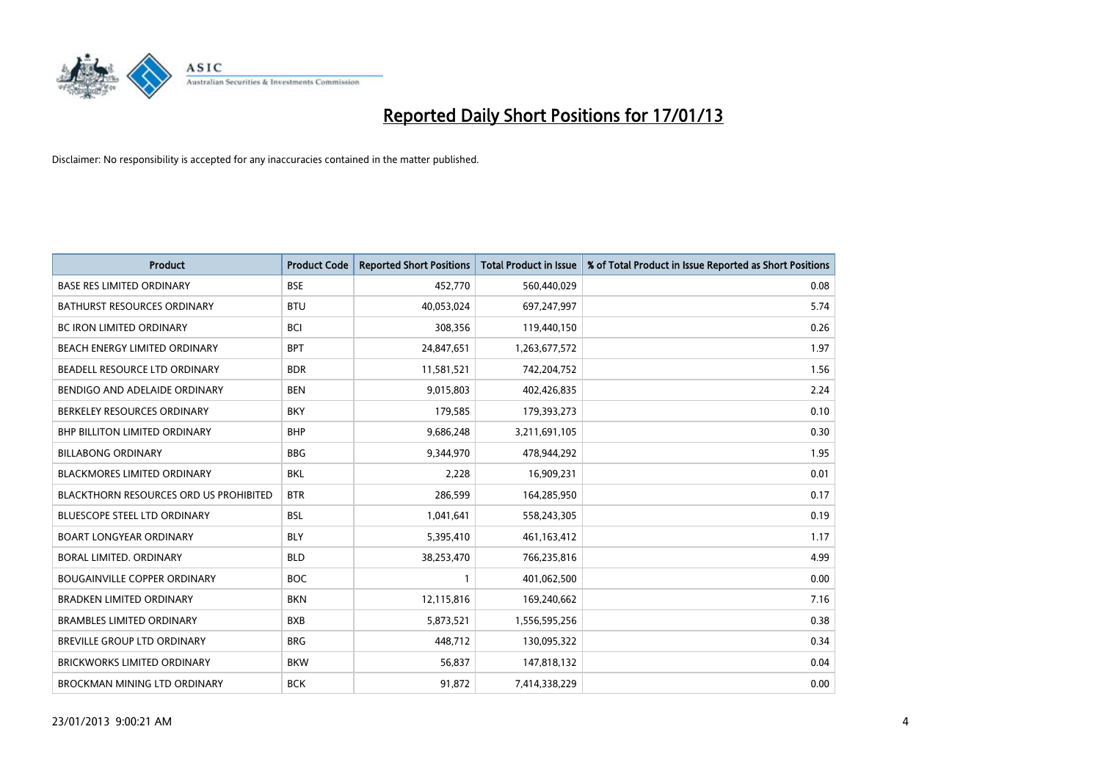

| <b>Product</b>                                | <b>Product Code</b> | <b>Reported Short Positions</b> | <b>Total Product in Issue</b> | % of Total Product in Issue Reported as Short Positions |
|-----------------------------------------------|---------------------|---------------------------------|-------------------------------|---------------------------------------------------------|
| <b>BASE RES LIMITED ORDINARY</b>              | <b>BSE</b>          | 452,770                         | 560,440,029                   | 0.08                                                    |
| <b>BATHURST RESOURCES ORDINARY</b>            | <b>BTU</b>          | 40,053,024                      | 697,247,997                   | 5.74                                                    |
| <b>BC IRON LIMITED ORDINARY</b>               | <b>BCI</b>          | 308,356                         | 119,440,150                   | 0.26                                                    |
| BEACH ENERGY LIMITED ORDINARY                 | <b>BPT</b>          | 24,847,651                      | 1,263,677,572                 | 1.97                                                    |
| BEADELL RESOURCE LTD ORDINARY                 | <b>BDR</b>          | 11,581,521                      | 742,204,752                   | 1.56                                                    |
| BENDIGO AND ADELAIDE ORDINARY                 | <b>BEN</b>          | 9,015,803                       | 402,426,835                   | 2.24                                                    |
| BERKELEY RESOURCES ORDINARY                   | <b>BKY</b>          | 179,585                         | 179,393,273                   | 0.10                                                    |
| <b>BHP BILLITON LIMITED ORDINARY</b>          | <b>BHP</b>          | 9,686,248                       | 3,211,691,105                 | 0.30                                                    |
| <b>BILLABONG ORDINARY</b>                     | <b>BBG</b>          | 9,344,970                       | 478,944,292                   | 1.95                                                    |
| <b>BLACKMORES LIMITED ORDINARY</b>            | <b>BKL</b>          | 2,228                           | 16,909,231                    | 0.01                                                    |
| <b>BLACKTHORN RESOURCES ORD US PROHIBITED</b> | <b>BTR</b>          | 286,599                         | 164,285,950                   | 0.17                                                    |
| BLUESCOPE STEEL LTD ORDINARY                  | <b>BSL</b>          | 1,041,641                       | 558,243,305                   | 0.19                                                    |
| <b>BOART LONGYEAR ORDINARY</b>                | <b>BLY</b>          | 5,395,410                       | 461,163,412                   | 1.17                                                    |
| BORAL LIMITED, ORDINARY                       | <b>BLD</b>          | 38,253,470                      | 766,235,816                   | 4.99                                                    |
| <b>BOUGAINVILLE COPPER ORDINARY</b>           | <b>BOC</b>          |                                 | 401,062,500                   | 0.00                                                    |
| <b>BRADKEN LIMITED ORDINARY</b>               | <b>BKN</b>          | 12,115,816                      | 169,240,662                   | 7.16                                                    |
| <b>BRAMBLES LIMITED ORDINARY</b>              | <b>BXB</b>          | 5,873,521                       | 1,556,595,256                 | 0.38                                                    |
| BREVILLE GROUP LTD ORDINARY                   | <b>BRG</b>          | 448,712                         | 130,095,322                   | 0.34                                                    |
| <b>BRICKWORKS LIMITED ORDINARY</b>            | <b>BKW</b>          | 56,837                          | 147,818,132                   | 0.04                                                    |
| BROCKMAN MINING LTD ORDINARY                  | <b>BCK</b>          | 91,872                          | 7,414,338,229                 | 0.00                                                    |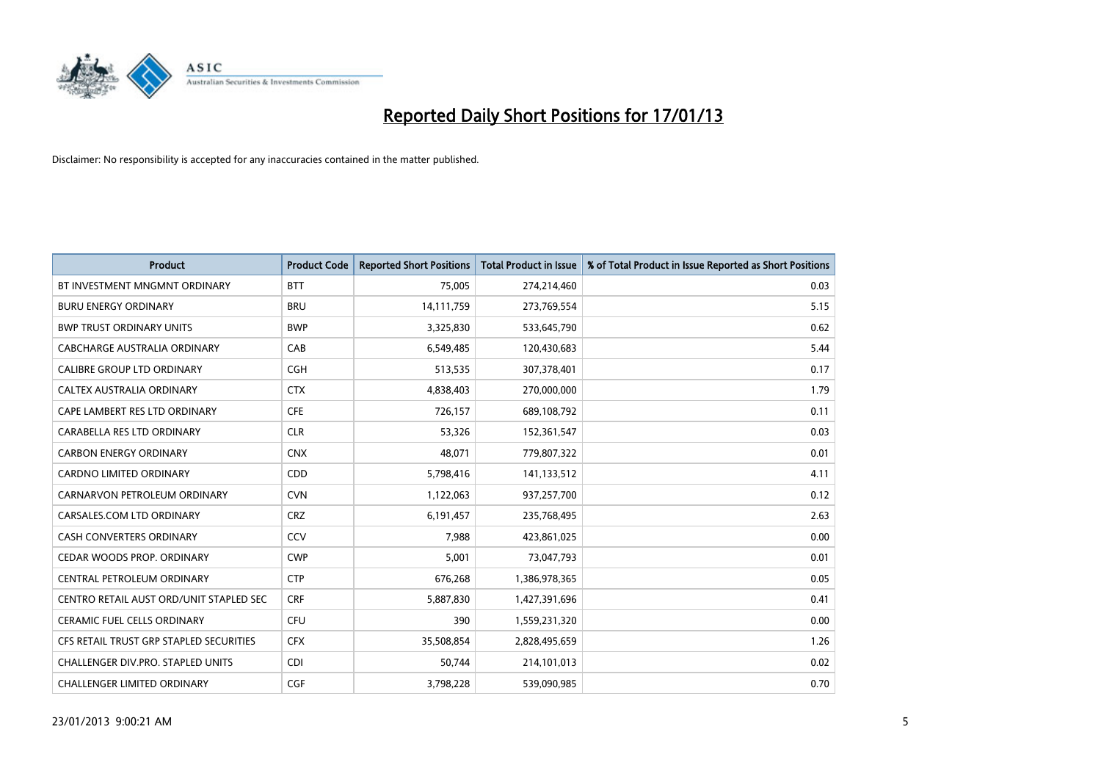

| <b>Product</b>                          | <b>Product Code</b> | <b>Reported Short Positions</b> | <b>Total Product in Issue</b> | % of Total Product in Issue Reported as Short Positions |
|-----------------------------------------|---------------------|---------------------------------|-------------------------------|---------------------------------------------------------|
| BT INVESTMENT MNGMNT ORDINARY           | <b>BTT</b>          | 75,005                          | 274,214,460                   | 0.03                                                    |
| <b>BURU ENERGY ORDINARY</b>             | <b>BRU</b>          | 14,111,759                      | 273,769,554                   | 5.15                                                    |
| <b>BWP TRUST ORDINARY UNITS</b>         | <b>BWP</b>          | 3,325,830                       | 533,645,790                   | 0.62                                                    |
| CABCHARGE AUSTRALIA ORDINARY            | CAB                 | 6,549,485                       | 120,430,683                   | 5.44                                                    |
| <b>CALIBRE GROUP LTD ORDINARY</b>       | <b>CGH</b>          | 513,535                         | 307,378,401                   | 0.17                                                    |
| CALTEX AUSTRALIA ORDINARY               | <b>CTX</b>          | 4,838,403                       | 270,000,000                   | 1.79                                                    |
| CAPE LAMBERT RES LTD ORDINARY           | <b>CFE</b>          | 726,157                         | 689,108,792                   | 0.11                                                    |
| CARABELLA RES LTD ORDINARY              | <b>CLR</b>          | 53,326                          | 152,361,547                   | 0.03                                                    |
| <b>CARBON ENERGY ORDINARY</b>           | <b>CNX</b>          | 48,071                          | 779,807,322                   | 0.01                                                    |
| <b>CARDNO LIMITED ORDINARY</b>          | CDD                 | 5,798,416                       | 141,133,512                   | 4.11                                                    |
| CARNARVON PETROLEUM ORDINARY            | <b>CVN</b>          | 1,122,063                       | 937,257,700                   | 0.12                                                    |
| CARSALES.COM LTD ORDINARY               | <b>CRZ</b>          | 6,191,457                       | 235,768,495                   | 2.63                                                    |
| CASH CONVERTERS ORDINARY                | CCV                 | 7,988                           | 423,861,025                   | 0.00                                                    |
| CEDAR WOODS PROP. ORDINARY              | <b>CWP</b>          | 5,001                           | 73,047,793                    | 0.01                                                    |
| CENTRAL PETROLEUM ORDINARY              | <b>CTP</b>          | 676,268                         | 1,386,978,365                 | 0.05                                                    |
| CENTRO RETAIL AUST ORD/UNIT STAPLED SEC | <b>CRF</b>          | 5,887,830                       | 1,427,391,696                 | 0.41                                                    |
| <b>CERAMIC FUEL CELLS ORDINARY</b>      | <b>CFU</b>          | 390                             | 1,559,231,320                 | 0.00                                                    |
| CFS RETAIL TRUST GRP STAPLED SECURITIES | <b>CFX</b>          | 35,508,854                      | 2,828,495,659                 | 1.26                                                    |
| CHALLENGER DIV.PRO. STAPLED UNITS       | <b>CDI</b>          | 50,744                          | 214,101,013                   | 0.02                                                    |
| CHALLENGER LIMITED ORDINARY             | <b>CGF</b>          | 3,798,228                       | 539,090,985                   | 0.70                                                    |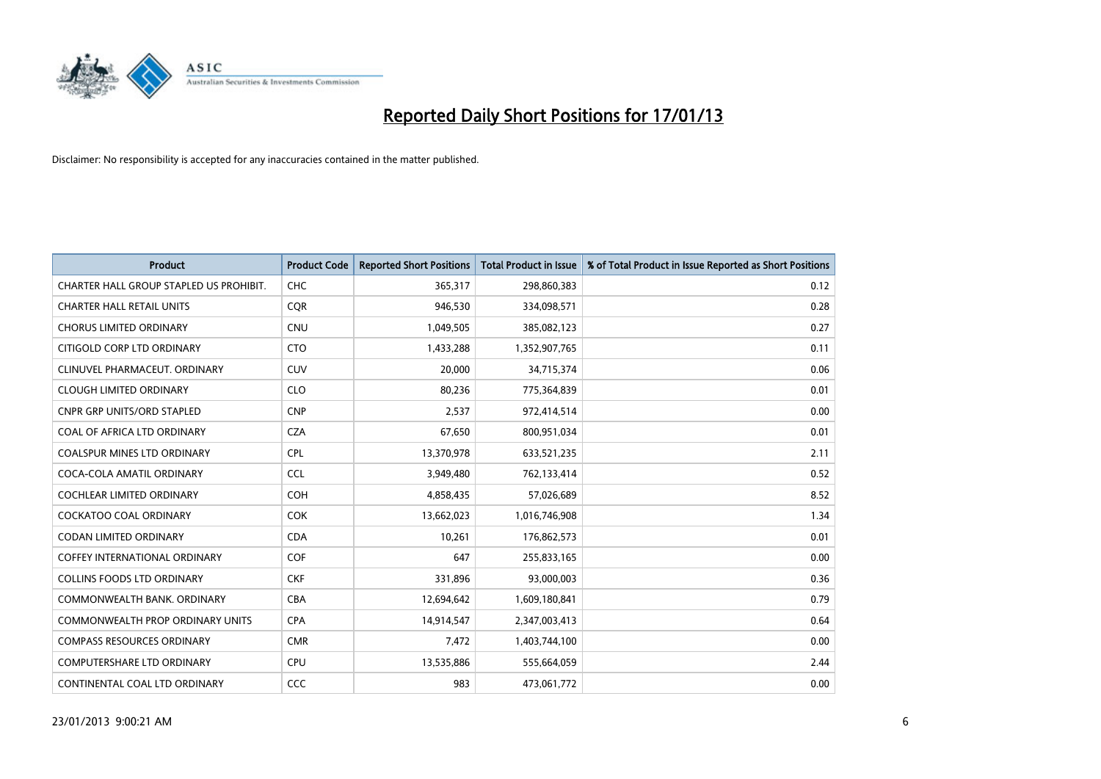

| <b>Product</b>                          | <b>Product Code</b> | <b>Reported Short Positions</b> | <b>Total Product in Issue</b> | % of Total Product in Issue Reported as Short Positions |
|-----------------------------------------|---------------------|---------------------------------|-------------------------------|---------------------------------------------------------|
| CHARTER HALL GROUP STAPLED US PROHIBIT. | <b>CHC</b>          | 365,317                         | 298,860,383                   | 0.12                                                    |
| <b>CHARTER HALL RETAIL UNITS</b>        | <b>COR</b>          | 946,530                         | 334,098,571                   | 0.28                                                    |
| <b>CHORUS LIMITED ORDINARY</b>          | <b>CNU</b>          | 1,049,505                       | 385,082,123                   | 0.27                                                    |
| CITIGOLD CORP LTD ORDINARY              | <b>CTO</b>          | 1,433,288                       | 1,352,907,765                 | 0.11                                                    |
| CLINUVEL PHARMACEUT, ORDINARY           | <b>CUV</b>          | 20,000                          | 34,715,374                    | 0.06                                                    |
| <b>CLOUGH LIMITED ORDINARY</b>          | <b>CLO</b>          | 80,236                          | 775,364,839                   | 0.01                                                    |
| <b>CNPR GRP UNITS/ORD STAPLED</b>       | <b>CNP</b>          | 2,537                           | 972,414,514                   | 0.00                                                    |
| COAL OF AFRICA LTD ORDINARY             | <b>CZA</b>          | 67,650                          | 800,951,034                   | 0.01                                                    |
| <b>COALSPUR MINES LTD ORDINARY</b>      | <b>CPL</b>          | 13,370,978                      | 633,521,235                   | 2.11                                                    |
| COCA-COLA AMATIL ORDINARY               | <b>CCL</b>          | 3,949,480                       | 762,133,414                   | 0.52                                                    |
| COCHLEAR LIMITED ORDINARY               | <b>COH</b>          | 4,858,435                       | 57,026,689                    | 8.52                                                    |
| <b>COCKATOO COAL ORDINARY</b>           | <b>COK</b>          | 13,662,023                      | 1,016,746,908                 | 1.34                                                    |
| CODAN LIMITED ORDINARY                  | <b>CDA</b>          | 10,261                          | 176,862,573                   | 0.01                                                    |
| <b>COFFEY INTERNATIONAL ORDINARY</b>    | <b>COF</b>          | 647                             | 255,833,165                   | 0.00                                                    |
| <b>COLLINS FOODS LTD ORDINARY</b>       | <b>CKF</b>          | 331,896                         | 93,000,003                    | 0.36                                                    |
| COMMONWEALTH BANK, ORDINARY             | <b>CBA</b>          | 12,694,642                      | 1,609,180,841                 | 0.79                                                    |
| COMMONWEALTH PROP ORDINARY UNITS        | <b>CPA</b>          | 14,914,547                      | 2,347,003,413                 | 0.64                                                    |
| <b>COMPASS RESOURCES ORDINARY</b>       | <b>CMR</b>          | 7,472                           | 1,403,744,100                 | 0.00                                                    |
| <b>COMPUTERSHARE LTD ORDINARY</b>       | <b>CPU</b>          | 13,535,886                      | 555,664,059                   | 2.44                                                    |
| CONTINENTAL COAL LTD ORDINARY           | CCC                 | 983                             | 473,061,772                   | 0.00                                                    |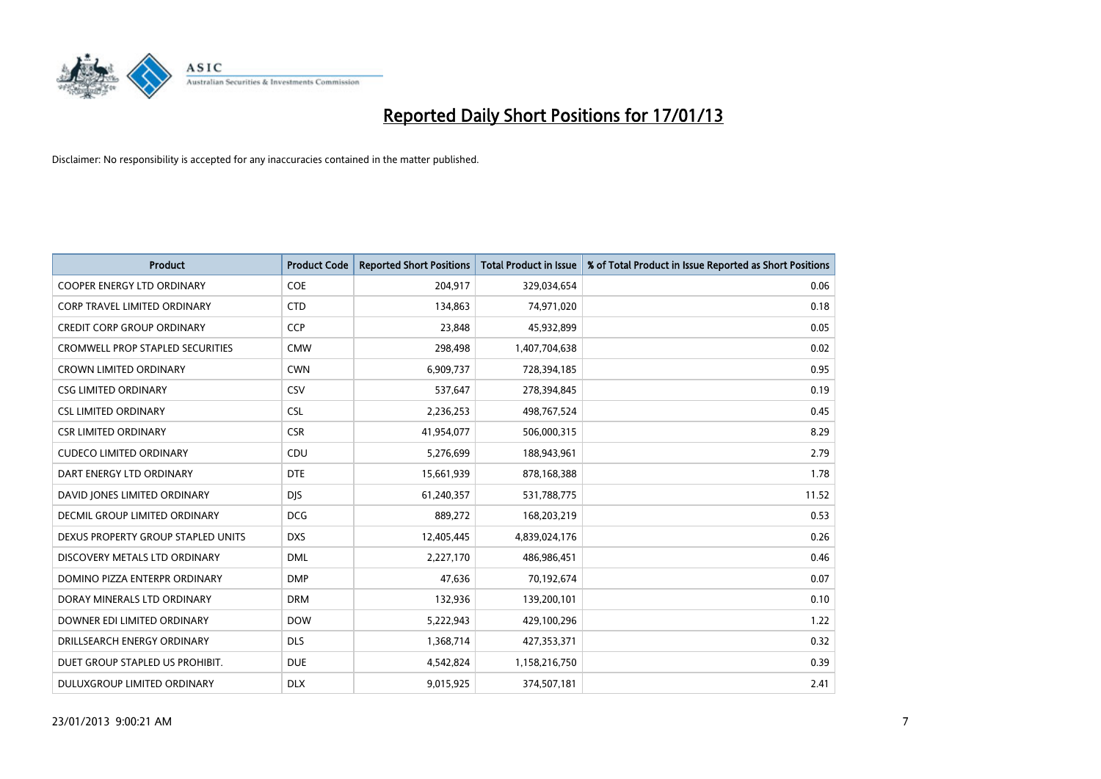

| <b>Product</b>                          | <b>Product Code</b> | <b>Reported Short Positions</b> | <b>Total Product in Issue</b> | % of Total Product in Issue Reported as Short Positions |
|-----------------------------------------|---------------------|---------------------------------|-------------------------------|---------------------------------------------------------|
| <b>COOPER ENERGY LTD ORDINARY</b>       | <b>COE</b>          | 204,917                         | 329,034,654                   | 0.06                                                    |
| <b>CORP TRAVEL LIMITED ORDINARY</b>     | <b>CTD</b>          | 134,863                         | 74,971,020                    | 0.18                                                    |
| <b>CREDIT CORP GROUP ORDINARY</b>       | <b>CCP</b>          | 23,848                          | 45,932,899                    | 0.05                                                    |
| <b>CROMWELL PROP STAPLED SECURITIES</b> | <b>CMW</b>          | 298,498                         | 1,407,704,638                 | 0.02                                                    |
| <b>CROWN LIMITED ORDINARY</b>           | <b>CWN</b>          | 6,909,737                       | 728,394,185                   | 0.95                                                    |
| <b>CSG LIMITED ORDINARY</b>             | CSV                 | 537,647                         | 278,394,845                   | 0.19                                                    |
| <b>CSL LIMITED ORDINARY</b>             | <b>CSL</b>          | 2,236,253                       | 498,767,524                   | 0.45                                                    |
| <b>CSR LIMITED ORDINARY</b>             | <b>CSR</b>          | 41,954,077                      | 506,000,315                   | 8.29                                                    |
| <b>CUDECO LIMITED ORDINARY</b>          | CDU                 | 5,276,699                       | 188,943,961                   | 2.79                                                    |
| DART ENERGY LTD ORDINARY                | <b>DTE</b>          | 15,661,939                      | 878,168,388                   | 1.78                                                    |
| DAVID JONES LIMITED ORDINARY            | <b>DJS</b>          | 61,240,357                      | 531,788,775                   | 11.52                                                   |
| DECMIL GROUP LIMITED ORDINARY           | <b>DCG</b>          | 889,272                         | 168,203,219                   | 0.53                                                    |
| DEXUS PROPERTY GROUP STAPLED UNITS      | <b>DXS</b>          | 12,405,445                      | 4,839,024,176                 | 0.26                                                    |
| DISCOVERY METALS LTD ORDINARY           | <b>DML</b>          | 2,227,170                       | 486,986,451                   | 0.46                                                    |
| DOMINO PIZZA ENTERPR ORDINARY           | <b>DMP</b>          | 47,636                          | 70,192,674                    | 0.07                                                    |
| DORAY MINERALS LTD ORDINARY             | <b>DRM</b>          | 132,936                         | 139,200,101                   | 0.10                                                    |
| DOWNER EDI LIMITED ORDINARY             | <b>DOW</b>          | 5,222,943                       | 429,100,296                   | 1.22                                                    |
| DRILLSEARCH ENERGY ORDINARY             | <b>DLS</b>          | 1,368,714                       | 427,353,371                   | 0.32                                                    |
| DUET GROUP STAPLED US PROHIBIT.         | <b>DUE</b>          | 4,542,824                       | 1,158,216,750                 | 0.39                                                    |
| DULUXGROUP LIMITED ORDINARY             | <b>DLX</b>          | 9,015,925                       | 374,507,181                   | 2.41                                                    |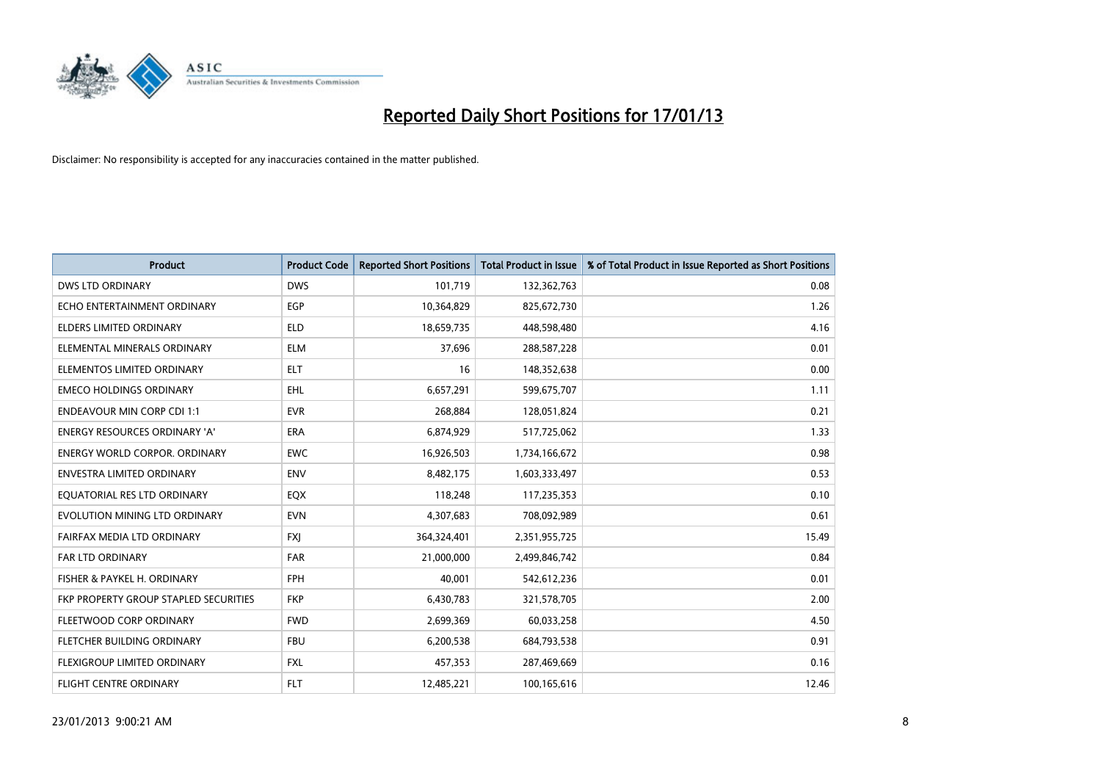

| <b>Product</b>                        | <b>Product Code</b> | <b>Reported Short Positions</b> | <b>Total Product in Issue</b> | % of Total Product in Issue Reported as Short Positions |
|---------------------------------------|---------------------|---------------------------------|-------------------------------|---------------------------------------------------------|
| <b>DWS LTD ORDINARY</b>               | <b>DWS</b>          | 101,719                         | 132,362,763                   | 0.08                                                    |
| ECHO ENTERTAINMENT ORDINARY           | <b>EGP</b>          | 10,364,829                      | 825,672,730                   | 1.26                                                    |
| <b>ELDERS LIMITED ORDINARY</b>        | <b>ELD</b>          | 18,659,735                      | 448,598,480                   | 4.16                                                    |
| ELEMENTAL MINERALS ORDINARY           | <b>ELM</b>          | 37,696                          | 288,587,228                   | 0.01                                                    |
| ELEMENTOS LIMITED ORDINARY            | <b>ELT</b>          | 16                              | 148,352,638                   | 0.00                                                    |
| <b>EMECO HOLDINGS ORDINARY</b>        | <b>EHL</b>          | 6,657,291                       | 599,675,707                   | 1.11                                                    |
| <b>ENDEAVOUR MIN CORP CDI 1:1</b>     | <b>EVR</b>          | 268,884                         | 128,051,824                   | 0.21                                                    |
| ENERGY RESOURCES ORDINARY 'A'         | <b>ERA</b>          | 6,874,929                       | 517,725,062                   | 1.33                                                    |
| <b>ENERGY WORLD CORPOR, ORDINARY</b>  | <b>EWC</b>          | 16,926,503                      | 1,734,166,672                 | 0.98                                                    |
| <b>ENVESTRA LIMITED ORDINARY</b>      | <b>ENV</b>          | 8,482,175                       | 1,603,333,497                 | 0.53                                                    |
| EQUATORIAL RES LTD ORDINARY           | EQX                 | 118,248                         | 117,235,353                   | 0.10                                                    |
| EVOLUTION MINING LTD ORDINARY         | <b>EVN</b>          | 4,307,683                       | 708,092,989                   | 0.61                                                    |
| FAIRFAX MEDIA LTD ORDINARY            | <b>FXI</b>          | 364,324,401                     | 2,351,955,725                 | 15.49                                                   |
| <b>FAR LTD ORDINARY</b>               | <b>FAR</b>          | 21,000,000                      | 2,499,846,742                 | 0.84                                                    |
| FISHER & PAYKEL H. ORDINARY           | <b>FPH</b>          | 40.001                          | 542,612,236                   | 0.01                                                    |
| FKP PROPERTY GROUP STAPLED SECURITIES | <b>FKP</b>          | 6,430,783                       | 321,578,705                   | 2.00                                                    |
| FLEETWOOD CORP ORDINARY               | <b>FWD</b>          | 2,699,369                       | 60,033,258                    | 4.50                                                    |
| FLETCHER BUILDING ORDINARY            | <b>FBU</b>          | 6,200,538                       | 684,793,538                   | 0.91                                                    |
| <b>FLEXIGROUP LIMITED ORDINARY</b>    | <b>FXL</b>          | 457,353                         | 287,469,669                   | 0.16                                                    |
| FLIGHT CENTRE ORDINARY                | <b>FLT</b>          | 12,485,221                      | 100,165,616                   | 12.46                                                   |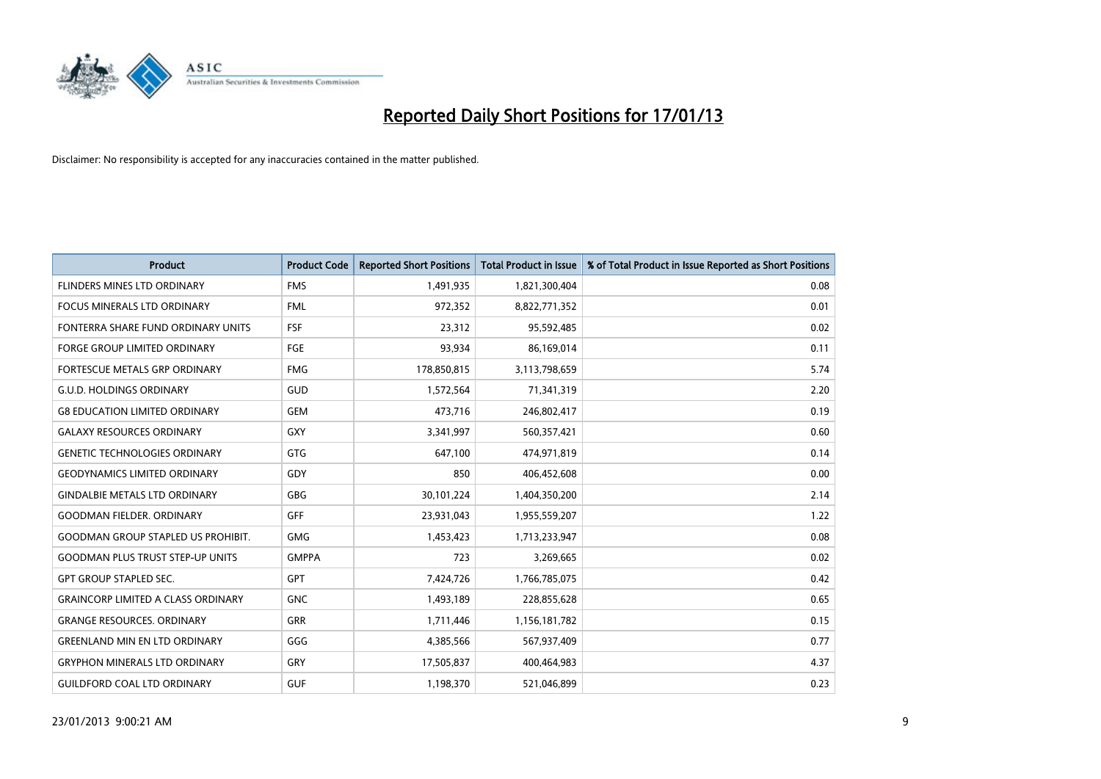

| <b>Product</b>                            | <b>Product Code</b> | <b>Reported Short Positions</b> | <b>Total Product in Issue</b> | % of Total Product in Issue Reported as Short Positions |
|-------------------------------------------|---------------------|---------------------------------|-------------------------------|---------------------------------------------------------|
| FLINDERS MINES LTD ORDINARY               | <b>FMS</b>          | 1,491,935                       | 1,821,300,404                 | 0.08                                                    |
| <b>FOCUS MINERALS LTD ORDINARY</b>        | <b>FML</b>          | 972,352                         | 8,822,771,352                 | 0.01                                                    |
| FONTERRA SHARE FUND ORDINARY UNITS        | <b>FSF</b>          | 23,312                          | 95,592,485                    | 0.02                                                    |
| <b>FORGE GROUP LIMITED ORDINARY</b>       | FGE                 | 93,934                          | 86,169,014                    | 0.11                                                    |
| <b>FORTESCUE METALS GRP ORDINARY</b>      | <b>FMG</b>          | 178,850,815                     | 3,113,798,659                 | 5.74                                                    |
| <b>G.U.D. HOLDINGS ORDINARY</b>           | <b>GUD</b>          | 1,572,564                       | 71,341,319                    | 2.20                                                    |
| <b>G8 EDUCATION LIMITED ORDINARY</b>      | <b>GEM</b>          | 473,716                         | 246,802,417                   | 0.19                                                    |
| <b>GALAXY RESOURCES ORDINARY</b>          | <b>GXY</b>          | 3,341,997                       | 560,357,421                   | 0.60                                                    |
| <b>GENETIC TECHNOLOGIES ORDINARY</b>      | <b>GTG</b>          | 647,100                         | 474,971,819                   | 0.14                                                    |
| <b>GEODYNAMICS LIMITED ORDINARY</b>       | GDY                 | 850                             | 406,452,608                   | 0.00                                                    |
| <b>GINDALBIE METALS LTD ORDINARY</b>      | <b>GBG</b>          | 30,101,224                      | 1,404,350,200                 | 2.14                                                    |
| <b>GOODMAN FIELDER. ORDINARY</b>          | <b>GFF</b>          | 23,931,043                      | 1,955,559,207                 | 1.22                                                    |
| <b>GOODMAN GROUP STAPLED US PROHIBIT.</b> | <b>GMG</b>          | 1,453,423                       | 1,713,233,947                 | 0.08                                                    |
| <b>GOODMAN PLUS TRUST STEP-UP UNITS</b>   | <b>GMPPA</b>        | 723                             | 3,269,665                     | 0.02                                                    |
| <b>GPT GROUP STAPLED SEC.</b>             | GPT                 | 7,424,726                       | 1,766,785,075                 | 0.42                                                    |
| <b>GRAINCORP LIMITED A CLASS ORDINARY</b> | <b>GNC</b>          | 1,493,189                       | 228,855,628                   | 0.65                                                    |
| <b>GRANGE RESOURCES. ORDINARY</b>         | GRR                 | 1,711,446                       | 1,156,181,782                 | 0.15                                                    |
| <b>GREENLAND MIN EN LTD ORDINARY</b>      | GGG                 | 4,385,566                       | 567,937,409                   | 0.77                                                    |
| <b>GRYPHON MINERALS LTD ORDINARY</b>      | GRY                 | 17,505,837                      | 400,464,983                   | 4.37                                                    |
| <b>GUILDFORD COAL LTD ORDINARY</b>        | <b>GUF</b>          | 1,198,370                       | 521,046,899                   | 0.23                                                    |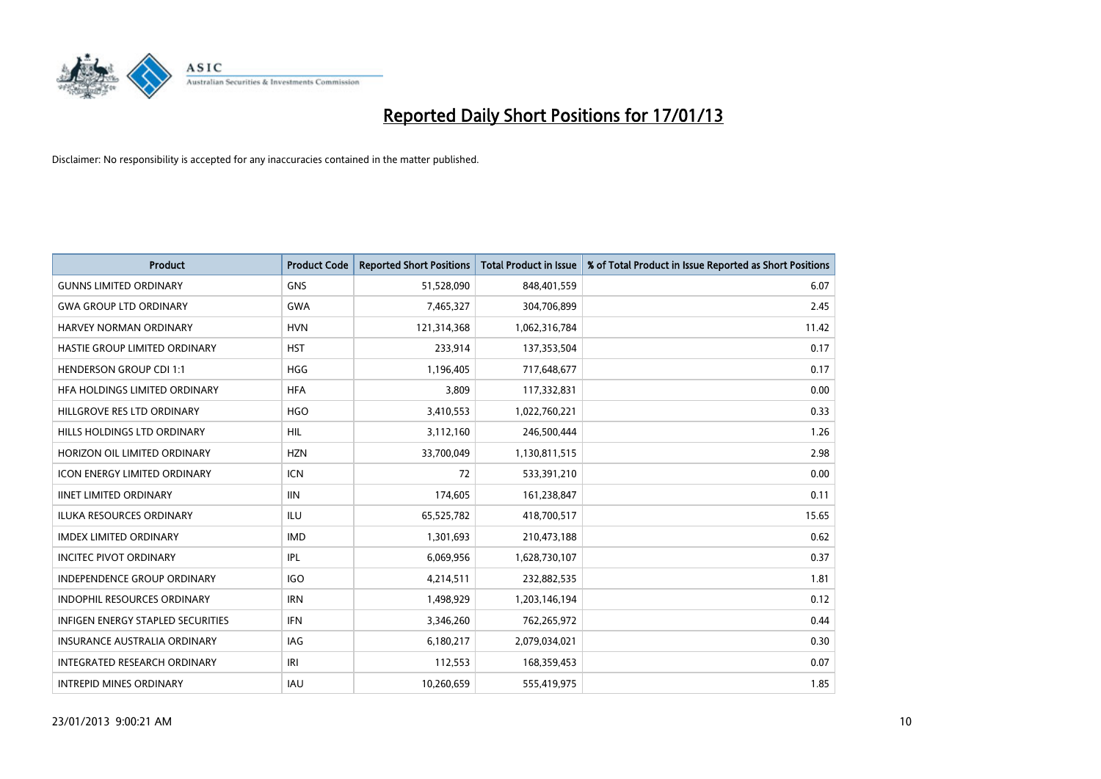

| <b>Product</b>                      | <b>Product Code</b> | <b>Reported Short Positions</b> | <b>Total Product in Issue</b> | % of Total Product in Issue Reported as Short Positions |
|-------------------------------------|---------------------|---------------------------------|-------------------------------|---------------------------------------------------------|
| <b>GUNNS LIMITED ORDINARY</b>       | <b>GNS</b>          | 51,528,090                      | 848,401,559                   | 6.07                                                    |
| <b>GWA GROUP LTD ORDINARY</b>       | <b>GWA</b>          | 7,465,327                       | 304,706,899                   | 2.45                                                    |
| <b>HARVEY NORMAN ORDINARY</b>       | <b>HVN</b>          | 121,314,368                     | 1,062,316,784                 | 11.42                                                   |
| HASTIE GROUP LIMITED ORDINARY       | <b>HST</b>          | 233,914                         | 137,353,504                   | 0.17                                                    |
| <b>HENDERSON GROUP CDI 1:1</b>      | <b>HGG</b>          | 1,196,405                       | 717,648,677                   | 0.17                                                    |
| HFA HOLDINGS LIMITED ORDINARY       | <b>HFA</b>          | 3,809                           | 117,332,831                   | 0.00                                                    |
| HILLGROVE RES LTD ORDINARY          | <b>HGO</b>          | 3,410,553                       | 1,022,760,221                 | 0.33                                                    |
| HILLS HOLDINGS LTD ORDINARY         | <b>HIL</b>          | 3,112,160                       | 246,500,444                   | 1.26                                                    |
| HORIZON OIL LIMITED ORDINARY        | <b>HZN</b>          | 33,700,049                      | 1,130,811,515                 | 2.98                                                    |
| <b>ICON ENERGY LIMITED ORDINARY</b> | <b>ICN</b>          | 72                              | 533,391,210                   | 0.00                                                    |
| <b>IINET LIMITED ORDINARY</b>       | <b>IIN</b>          | 174,605                         | 161,238,847                   | 0.11                                                    |
| <b>ILUKA RESOURCES ORDINARY</b>     | ILU                 | 65,525,782                      | 418,700,517                   | 15.65                                                   |
| <b>IMDEX LIMITED ORDINARY</b>       | <b>IMD</b>          | 1,301,693                       | 210,473,188                   | 0.62                                                    |
| <b>INCITEC PIVOT ORDINARY</b>       | IPL                 | 6,069,956                       | 1,628,730,107                 | 0.37                                                    |
| <b>INDEPENDENCE GROUP ORDINARY</b>  | <b>IGO</b>          | 4,214,511                       | 232,882,535                   | 1.81                                                    |
| INDOPHIL RESOURCES ORDINARY         | <b>IRN</b>          | 1,498,929                       | 1,203,146,194                 | 0.12                                                    |
| INFIGEN ENERGY STAPLED SECURITIES   | <b>IFN</b>          | 3,346,260                       | 762,265,972                   | 0.44                                                    |
| INSURANCE AUSTRALIA ORDINARY        | IAG                 | 6,180,217                       | 2,079,034,021                 | 0.30                                                    |
| <b>INTEGRATED RESEARCH ORDINARY</b> | IRI                 | 112,553                         | 168,359,453                   | 0.07                                                    |
| <b>INTREPID MINES ORDINARY</b>      | <b>IAU</b>          | 10,260,659                      | 555,419,975                   | 1.85                                                    |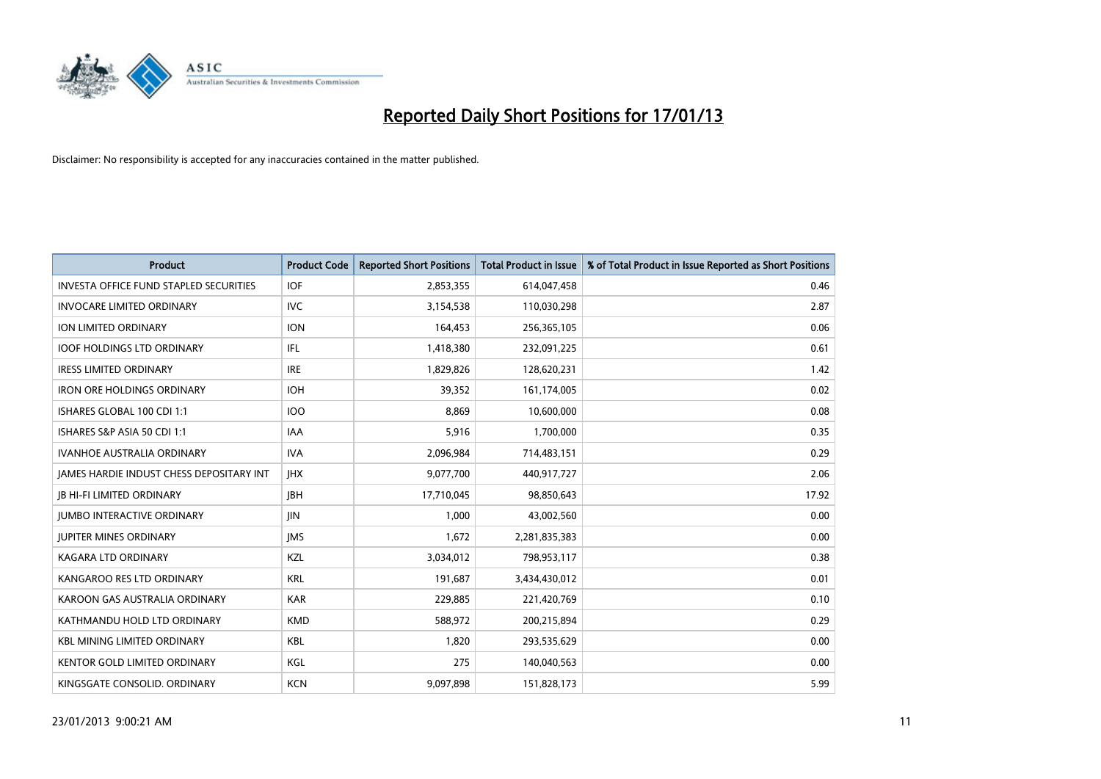

| <b>Product</b>                                  | <b>Product Code</b> | <b>Reported Short Positions</b> | <b>Total Product in Issue</b> | % of Total Product in Issue Reported as Short Positions |
|-------------------------------------------------|---------------------|---------------------------------|-------------------------------|---------------------------------------------------------|
| <b>INVESTA OFFICE FUND STAPLED SECURITIES</b>   | <b>IOF</b>          | 2,853,355                       | 614,047,458                   | 0.46                                                    |
| <b>INVOCARE LIMITED ORDINARY</b>                | IVC                 | 3,154,538                       | 110,030,298                   | 2.87                                                    |
| <b>ION LIMITED ORDINARY</b>                     | <b>ION</b>          | 164,453                         | 256,365,105                   | 0.06                                                    |
| <b>IOOF HOLDINGS LTD ORDINARY</b>               | IFL.                | 1,418,380                       | 232,091,225                   | 0.61                                                    |
| <b>IRESS LIMITED ORDINARY</b>                   | <b>IRE</b>          | 1,829,826                       | 128,620,231                   | 1.42                                                    |
| <b>IRON ORE HOLDINGS ORDINARY</b>               | <b>IOH</b>          | 39,352                          | 161,174,005                   | 0.02                                                    |
| ISHARES GLOBAL 100 CDI 1:1                      | <b>IOO</b>          | 8.869                           | 10,600,000                    | 0.08                                                    |
| ISHARES S&P ASIA 50 CDI 1:1                     | <b>IAA</b>          | 5,916                           | 1,700,000                     | 0.35                                                    |
| <b>IVANHOE AUSTRALIA ORDINARY</b>               | <b>IVA</b>          | 2,096,984                       | 714,483,151                   | 0.29                                                    |
| <b>JAMES HARDIE INDUST CHESS DEPOSITARY INT</b> | <b>IHX</b>          | 9,077,700                       | 440,917,727                   | 2.06                                                    |
| <b>JB HI-FI LIMITED ORDINARY</b>                | <b>IBH</b>          | 17,710,045                      | 98,850,643                    | 17.92                                                   |
| <b>JUMBO INTERACTIVE ORDINARY</b>               | <b>JIN</b>          | 1,000                           | 43,002,560                    | 0.00                                                    |
| <b>JUPITER MINES ORDINARY</b>                   | <b>IMS</b>          | 1,672                           | 2,281,835,383                 | 0.00                                                    |
| <b>KAGARA LTD ORDINARY</b>                      | <b>KZL</b>          | 3,034,012                       | 798,953,117                   | 0.38                                                    |
| KANGAROO RES LTD ORDINARY                       | <b>KRL</b>          | 191,687                         | 3,434,430,012                 | 0.01                                                    |
| KAROON GAS AUSTRALIA ORDINARY                   | <b>KAR</b>          | 229,885                         | 221,420,769                   | 0.10                                                    |
| KATHMANDU HOLD LTD ORDINARY                     | <b>KMD</b>          | 588,972                         | 200,215,894                   | 0.29                                                    |
| <b>KBL MINING LIMITED ORDINARY</b>              | <b>KBL</b>          | 1,820                           | 293,535,629                   | 0.00                                                    |
| <b>KENTOR GOLD LIMITED ORDINARY</b>             | KGL                 | 275                             | 140,040,563                   | 0.00                                                    |
| KINGSGATE CONSOLID. ORDINARY                    | <b>KCN</b>          | 9,097,898                       | 151,828,173                   | 5.99                                                    |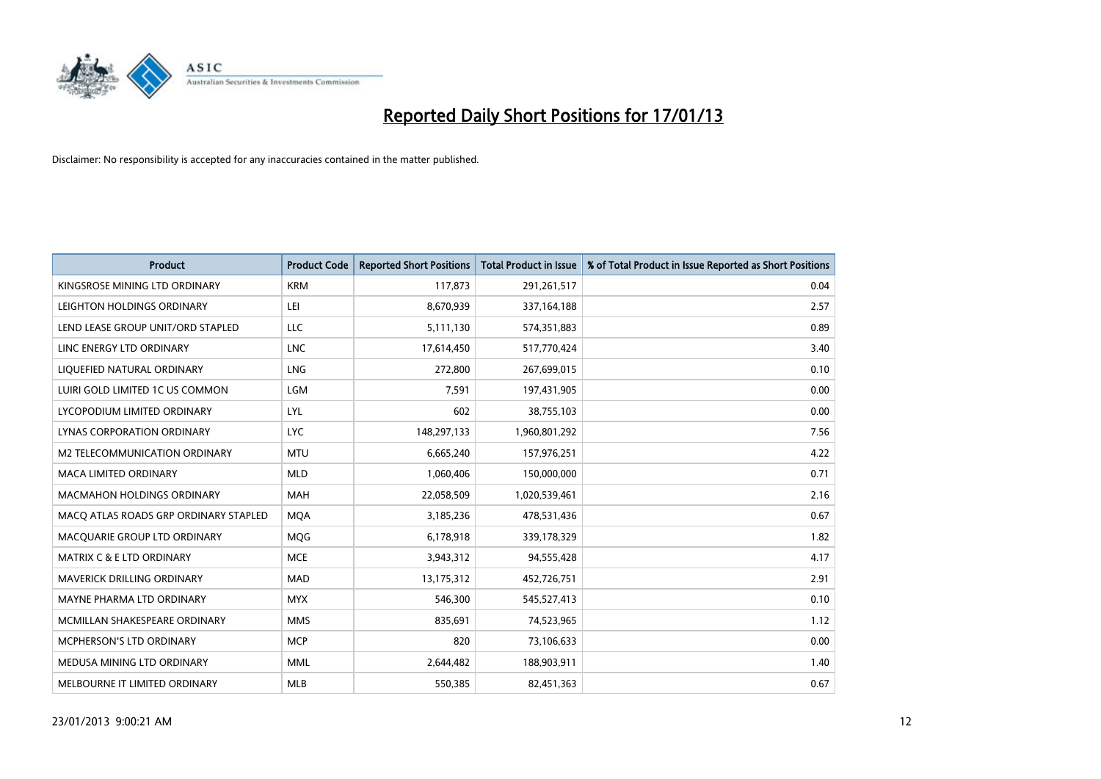

| <b>Product</b>                        | <b>Product Code</b> | <b>Reported Short Positions</b> | <b>Total Product in Issue</b> | % of Total Product in Issue Reported as Short Positions |
|---------------------------------------|---------------------|---------------------------------|-------------------------------|---------------------------------------------------------|
| KINGSROSE MINING LTD ORDINARY         | <b>KRM</b>          | 117,873                         | 291,261,517                   | 0.04                                                    |
| LEIGHTON HOLDINGS ORDINARY            | LEI                 | 8,670,939                       | 337, 164, 188                 | 2.57                                                    |
| LEND LEASE GROUP UNIT/ORD STAPLED     | LLC                 | 5,111,130                       | 574,351,883                   | 0.89                                                    |
| LINC ENERGY LTD ORDINARY              | <b>LNC</b>          | 17,614,450                      | 517,770,424                   | 3.40                                                    |
| LIQUEFIED NATURAL ORDINARY            | <b>LNG</b>          | 272,800                         | 267,699,015                   | 0.10                                                    |
| LUIRI GOLD LIMITED 1C US COMMON       | <b>LGM</b>          | 7,591                           | 197,431,905                   | 0.00                                                    |
| LYCOPODIUM LIMITED ORDINARY           | <b>LYL</b>          | 602                             | 38,755,103                    | 0.00                                                    |
| LYNAS CORPORATION ORDINARY            | <b>LYC</b>          | 148,297,133                     | 1,960,801,292                 | 7.56                                                    |
| <b>M2 TELECOMMUNICATION ORDINARY</b>  | <b>MTU</b>          | 6,665,240                       | 157,976,251                   | 4.22                                                    |
| <b>MACA LIMITED ORDINARY</b>          | <b>MLD</b>          | 1,060,406                       | 150,000,000                   | 0.71                                                    |
| MACMAHON HOLDINGS ORDINARY            | <b>MAH</b>          | 22,058,509                      | 1,020,539,461                 | 2.16                                                    |
| MACQ ATLAS ROADS GRP ORDINARY STAPLED | <b>MQA</b>          | 3,185,236                       | 478,531,436                   | 0.67                                                    |
| MACQUARIE GROUP LTD ORDINARY          | <b>MOG</b>          | 6,178,918                       | 339,178,329                   | 1.82                                                    |
| <b>MATRIX C &amp; E LTD ORDINARY</b>  | <b>MCE</b>          | 3,943,312                       | 94,555,428                    | 4.17                                                    |
| MAVERICK DRILLING ORDINARY            | <b>MAD</b>          | 13,175,312                      | 452,726,751                   | 2.91                                                    |
| MAYNE PHARMA LTD ORDINARY             | <b>MYX</b>          | 546,300                         | 545,527,413                   | 0.10                                                    |
| MCMILLAN SHAKESPEARE ORDINARY         | <b>MMS</b>          | 835,691                         | 74,523,965                    | 1.12                                                    |
| MCPHERSON'S LTD ORDINARY              | <b>MCP</b>          | 820                             | 73,106,633                    | 0.00                                                    |
| MEDUSA MINING LTD ORDINARY            | <b>MML</b>          | 2,644,482                       | 188,903,911                   | 1.40                                                    |
| MELBOURNE IT LIMITED ORDINARY         | <b>MLB</b>          | 550,385                         | 82,451,363                    | 0.67                                                    |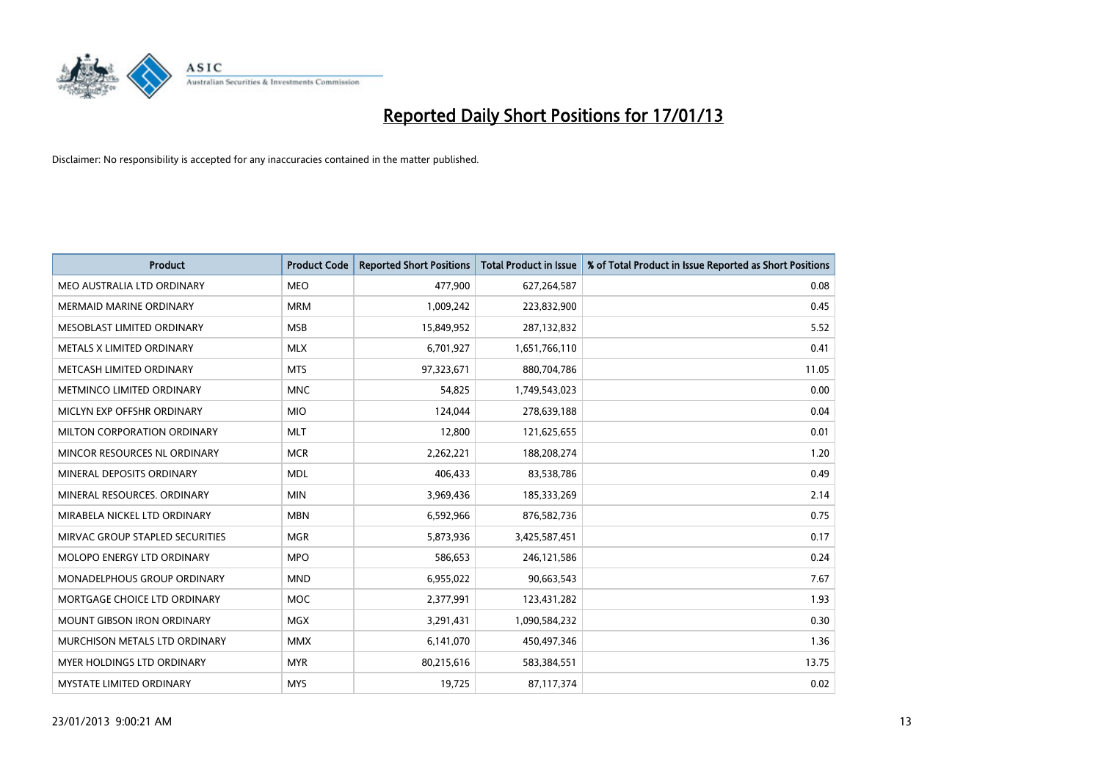

| <b>Product</b>                     | <b>Product Code</b> | <b>Reported Short Positions</b> | <b>Total Product in Issue</b> | % of Total Product in Issue Reported as Short Positions |
|------------------------------------|---------------------|---------------------------------|-------------------------------|---------------------------------------------------------|
| MEO AUSTRALIA LTD ORDINARY         | <b>MEO</b>          | 477,900                         | 627,264,587                   | 0.08                                                    |
| MERMAID MARINE ORDINARY            | <b>MRM</b>          | 1,009,242                       | 223,832,900                   | 0.45                                                    |
| MESOBLAST LIMITED ORDINARY         | <b>MSB</b>          | 15,849,952                      | 287,132,832                   | 5.52                                                    |
| METALS X LIMITED ORDINARY          | <b>MLX</b>          | 6,701,927                       | 1,651,766,110                 | 0.41                                                    |
| METCASH LIMITED ORDINARY           | <b>MTS</b>          | 97,323,671                      | 880,704,786                   | 11.05                                                   |
| METMINCO LIMITED ORDINARY          | <b>MNC</b>          | 54.825                          | 1,749,543,023                 | 0.00                                                    |
| MICLYN EXP OFFSHR ORDINARY         | <b>MIO</b>          | 124,044                         | 278,639,188                   | 0.04                                                    |
| MILTON CORPORATION ORDINARY        | <b>MLT</b>          | 12,800                          | 121,625,655                   | 0.01                                                    |
| MINCOR RESOURCES NL ORDINARY       | <b>MCR</b>          | 2,262,221                       | 188,208,274                   | 1.20                                                    |
| MINERAL DEPOSITS ORDINARY          | <b>MDL</b>          | 406,433                         | 83,538,786                    | 0.49                                                    |
| MINERAL RESOURCES. ORDINARY        | <b>MIN</b>          | 3,969,436                       | 185,333,269                   | 2.14                                                    |
| MIRABELA NICKEL LTD ORDINARY       | <b>MBN</b>          | 6,592,966                       | 876,582,736                   | 0.75                                                    |
| MIRVAC GROUP STAPLED SECURITIES    | <b>MGR</b>          | 5,873,936                       | 3,425,587,451                 | 0.17                                                    |
| MOLOPO ENERGY LTD ORDINARY         | <b>MPO</b>          | 586,653                         | 246,121,586                   | 0.24                                                    |
| <b>MONADELPHOUS GROUP ORDINARY</b> | <b>MND</b>          | 6,955,022                       | 90,663,543                    | 7.67                                                    |
| MORTGAGE CHOICE LTD ORDINARY       | <b>MOC</b>          | 2,377,991                       | 123,431,282                   | 1.93                                                    |
| <b>MOUNT GIBSON IRON ORDINARY</b>  | <b>MGX</b>          | 3,291,431                       | 1,090,584,232                 | 0.30                                                    |
| MURCHISON METALS LTD ORDINARY      | <b>MMX</b>          | 6,141,070                       | 450,497,346                   | 1.36                                                    |
| <b>MYER HOLDINGS LTD ORDINARY</b>  | <b>MYR</b>          | 80,215,616                      | 583,384,551                   | 13.75                                                   |
| MYSTATE LIMITED ORDINARY           | <b>MYS</b>          | 19,725                          | 87,117,374                    | 0.02                                                    |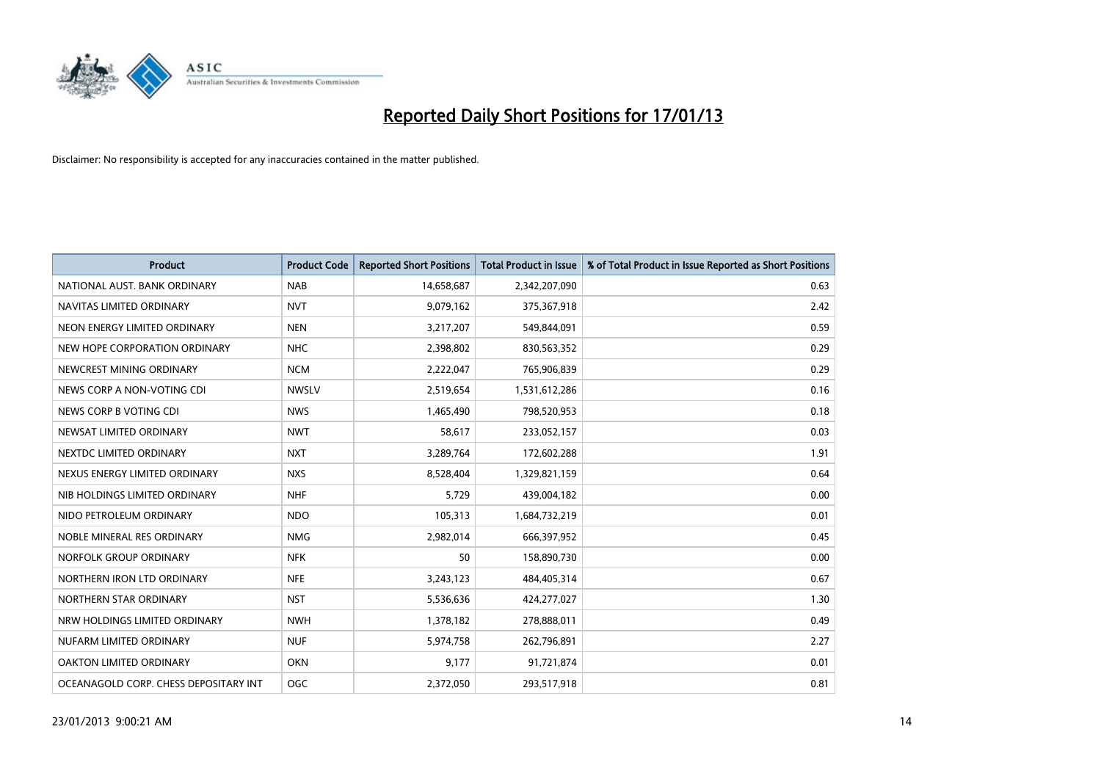

| <b>Product</b>                        | <b>Product Code</b> | <b>Reported Short Positions</b> | <b>Total Product in Issue</b> | % of Total Product in Issue Reported as Short Positions |
|---------------------------------------|---------------------|---------------------------------|-------------------------------|---------------------------------------------------------|
| NATIONAL AUST, BANK ORDINARY          | <b>NAB</b>          | 14,658,687                      | 2,342,207,090                 | 0.63                                                    |
| NAVITAS LIMITED ORDINARY              | <b>NVT</b>          | 9,079,162                       | 375,367,918                   | 2.42                                                    |
| NEON ENERGY LIMITED ORDINARY          | <b>NEN</b>          | 3,217,207                       | 549,844,091                   | 0.59                                                    |
| NEW HOPE CORPORATION ORDINARY         | <b>NHC</b>          | 2,398,802                       | 830,563,352                   | 0.29                                                    |
| NEWCREST MINING ORDINARY              | <b>NCM</b>          | 2,222,047                       | 765,906,839                   | 0.29                                                    |
| NEWS CORP A NON-VOTING CDI            | <b>NWSLV</b>        | 2,519,654                       | 1,531,612,286                 | 0.16                                                    |
| NEWS CORP B VOTING CDI                | <b>NWS</b>          | 1,465,490                       | 798,520,953                   | 0.18                                                    |
| NEWSAT LIMITED ORDINARY               | <b>NWT</b>          | 58,617                          | 233,052,157                   | 0.03                                                    |
| NEXTDC LIMITED ORDINARY               | <b>NXT</b>          | 3,289,764                       | 172,602,288                   | 1.91                                                    |
| NEXUS ENERGY LIMITED ORDINARY         | <b>NXS</b>          | 8,528,404                       | 1,329,821,159                 | 0.64                                                    |
| NIB HOLDINGS LIMITED ORDINARY         | <b>NHF</b>          | 5,729                           | 439,004,182                   | 0.00                                                    |
| NIDO PETROLEUM ORDINARY               | <b>NDO</b>          | 105,313                         | 1,684,732,219                 | 0.01                                                    |
| NOBLE MINERAL RES ORDINARY            | <b>NMG</b>          | 2,982,014                       | 666,397,952                   | 0.45                                                    |
| NORFOLK GROUP ORDINARY                | <b>NFK</b>          | 50                              | 158,890,730                   | 0.00                                                    |
| NORTHERN IRON LTD ORDINARY            | <b>NFE</b>          | 3,243,123                       | 484,405,314                   | 0.67                                                    |
| NORTHERN STAR ORDINARY                | <b>NST</b>          | 5,536,636                       | 424,277,027                   | 1.30                                                    |
| NRW HOLDINGS LIMITED ORDINARY         | <b>NWH</b>          | 1,378,182                       | 278,888,011                   | 0.49                                                    |
| NUFARM LIMITED ORDINARY               | <b>NUF</b>          | 5,974,758                       | 262,796,891                   | 2.27                                                    |
| OAKTON LIMITED ORDINARY               | <b>OKN</b>          | 9,177                           | 91,721,874                    | 0.01                                                    |
| OCEANAGOLD CORP. CHESS DEPOSITARY INT | <b>OGC</b>          | 2,372,050                       | 293,517,918                   | 0.81                                                    |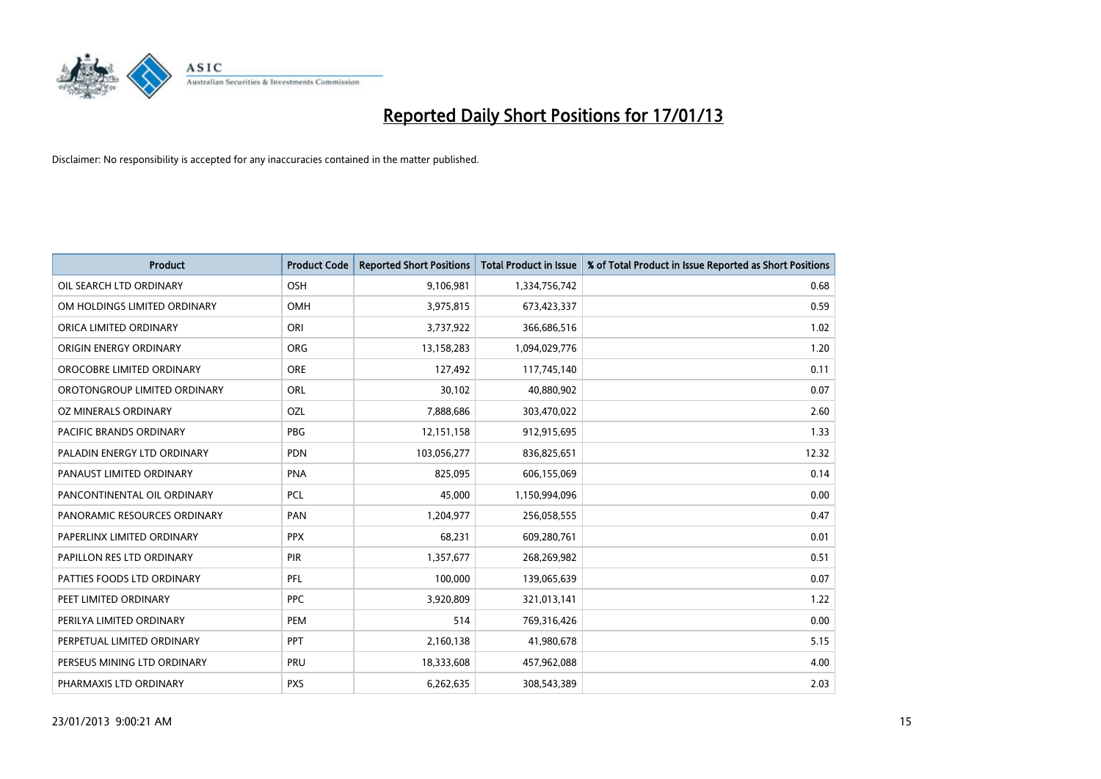

| <b>Product</b>               | <b>Product Code</b> | <b>Reported Short Positions</b> | <b>Total Product in Issue</b> | % of Total Product in Issue Reported as Short Positions |
|------------------------------|---------------------|---------------------------------|-------------------------------|---------------------------------------------------------|
| OIL SEARCH LTD ORDINARY      | OSH                 | 9,106,981                       | 1,334,756,742                 | 0.68                                                    |
| OM HOLDINGS LIMITED ORDINARY | OMH                 | 3,975,815                       | 673,423,337                   | 0.59                                                    |
| ORICA LIMITED ORDINARY       | ORI                 | 3,737,922                       | 366,686,516                   | 1.02                                                    |
| ORIGIN ENERGY ORDINARY       | <b>ORG</b>          | 13,158,283                      | 1,094,029,776                 | 1.20                                                    |
| OROCOBRE LIMITED ORDINARY    | <b>ORE</b>          | 127,492                         | 117,745,140                   | 0.11                                                    |
| OROTONGROUP LIMITED ORDINARY | ORL                 | 30,102                          | 40,880,902                    | 0.07                                                    |
| OZ MINERALS ORDINARY         | OZL                 | 7,888,686                       | 303,470,022                   | 2.60                                                    |
| PACIFIC BRANDS ORDINARY      | PBG                 | 12,151,158                      | 912,915,695                   | 1.33                                                    |
| PALADIN ENERGY LTD ORDINARY  | <b>PDN</b>          | 103,056,277                     | 836,825,651                   | 12.32                                                   |
| PANAUST LIMITED ORDINARY     | PNA                 | 825,095                         | 606,155,069                   | 0.14                                                    |
| PANCONTINENTAL OIL ORDINARY  | PCL                 | 45,000                          | 1,150,994,096                 | 0.00                                                    |
| PANORAMIC RESOURCES ORDINARY | PAN                 | 1,204,977                       | 256,058,555                   | 0.47                                                    |
| PAPERLINX LIMITED ORDINARY   | <b>PPX</b>          | 68,231                          | 609,280,761                   | 0.01                                                    |
| PAPILLON RES LTD ORDINARY    | <b>PIR</b>          | 1,357,677                       | 268,269,982                   | 0.51                                                    |
| PATTIES FOODS LTD ORDINARY   | PFL                 | 100,000                         | 139,065,639                   | 0.07                                                    |
| PEET LIMITED ORDINARY        | <b>PPC</b>          | 3,920,809                       | 321,013,141                   | 1.22                                                    |
| PERILYA LIMITED ORDINARY     | PEM                 | 514                             | 769,316,426                   | 0.00                                                    |
| PERPETUAL LIMITED ORDINARY   | <b>PPT</b>          | 2,160,138                       | 41,980,678                    | 5.15                                                    |
| PERSEUS MINING LTD ORDINARY  | PRU                 | 18,333,608                      | 457,962,088                   | 4.00                                                    |
| PHARMAXIS LTD ORDINARY       | <b>PXS</b>          | 6,262,635                       | 308,543,389                   | 2.03                                                    |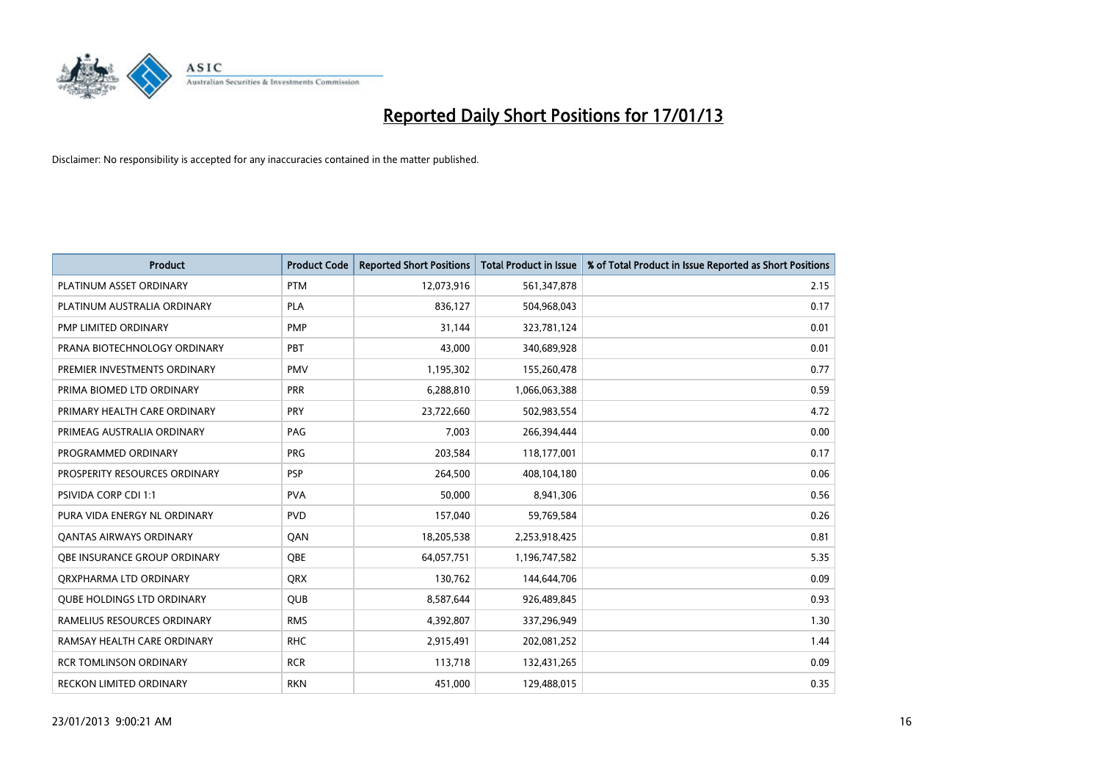

| <b>Product</b>                    | <b>Product Code</b> | <b>Reported Short Positions</b> | <b>Total Product in Issue</b> | % of Total Product in Issue Reported as Short Positions |
|-----------------------------------|---------------------|---------------------------------|-------------------------------|---------------------------------------------------------|
| PLATINUM ASSET ORDINARY           | <b>PTM</b>          | 12,073,916                      | 561,347,878                   | 2.15                                                    |
| PLATINUM AUSTRALIA ORDINARY       | <b>PLA</b>          | 836,127                         | 504,968,043                   | 0.17                                                    |
| PMP LIMITED ORDINARY              | <b>PMP</b>          | 31,144                          | 323,781,124                   | 0.01                                                    |
| PRANA BIOTECHNOLOGY ORDINARY      | PBT                 | 43.000                          | 340,689,928                   | 0.01                                                    |
| PREMIER INVESTMENTS ORDINARY      | <b>PMV</b>          | 1,195,302                       | 155,260,478                   | 0.77                                                    |
| PRIMA BIOMED LTD ORDINARY         | <b>PRR</b>          | 6,288,810                       | 1,066,063,388                 | 0.59                                                    |
| PRIMARY HEALTH CARE ORDINARY      | <b>PRY</b>          | 23,722,660                      | 502,983,554                   | 4.72                                                    |
| PRIMEAG AUSTRALIA ORDINARY        | PAG                 | 7,003                           | 266,394,444                   | 0.00                                                    |
| PROGRAMMED ORDINARY               | <b>PRG</b>          | 203,584                         | 118,177,001                   | 0.17                                                    |
| PROSPERITY RESOURCES ORDINARY     | <b>PSP</b>          | 264,500                         | 408,104,180                   | 0.06                                                    |
| PSIVIDA CORP CDI 1:1              | <b>PVA</b>          | 50,000                          | 8,941,306                     | 0.56                                                    |
| PURA VIDA ENERGY NL ORDINARY      | <b>PVD</b>          | 157,040                         | 59,769,584                    | 0.26                                                    |
| <b>QANTAS AIRWAYS ORDINARY</b>    | QAN                 | 18,205,538                      | 2,253,918,425                 | 0.81                                                    |
| OBE INSURANCE GROUP ORDINARY      | <b>OBE</b>          | 64,057,751                      | 1,196,747,582                 | 5.35                                                    |
| ORXPHARMA LTD ORDINARY            | <b>ORX</b>          | 130,762                         | 144,644,706                   | 0.09                                                    |
| <b>QUBE HOLDINGS LTD ORDINARY</b> | <b>QUB</b>          | 8,587,644                       | 926,489,845                   | 0.93                                                    |
| RAMELIUS RESOURCES ORDINARY       | <b>RMS</b>          | 4,392,807                       | 337,296,949                   | 1.30                                                    |
| RAMSAY HEALTH CARE ORDINARY       | <b>RHC</b>          | 2,915,491                       | 202,081,252                   | 1.44                                                    |
| <b>RCR TOMLINSON ORDINARY</b>     | <b>RCR</b>          | 113,718                         | 132,431,265                   | 0.09                                                    |
| RECKON LIMITED ORDINARY           | <b>RKN</b>          | 451,000                         | 129,488,015                   | 0.35                                                    |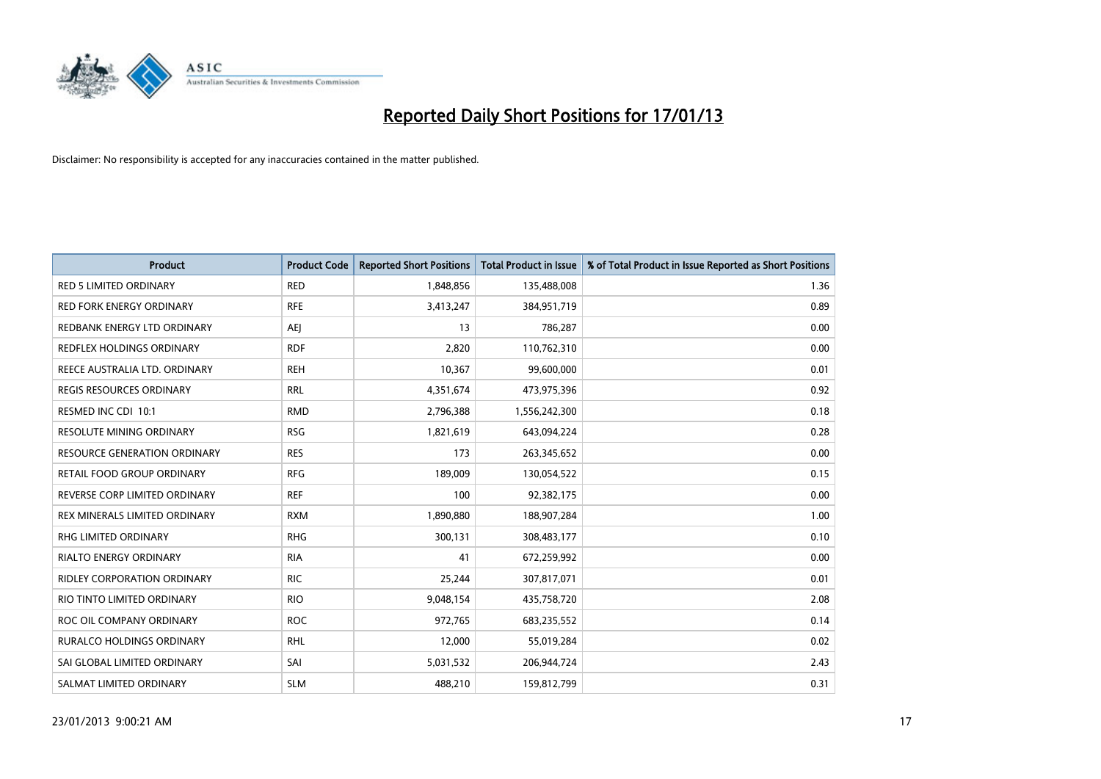

| <b>Product</b>                      | <b>Product Code</b> | <b>Reported Short Positions</b> | <b>Total Product in Issue</b> | % of Total Product in Issue Reported as Short Positions |
|-------------------------------------|---------------------|---------------------------------|-------------------------------|---------------------------------------------------------|
| <b>RED 5 LIMITED ORDINARY</b>       | <b>RED</b>          | 1,848,856                       | 135,488,008                   | 1.36                                                    |
| <b>RED FORK ENERGY ORDINARY</b>     | <b>RFE</b>          | 3,413,247                       | 384,951,719                   | 0.89                                                    |
| REDBANK ENERGY LTD ORDINARY         | AEJ                 | 13                              | 786,287                       | 0.00                                                    |
| REDFLEX HOLDINGS ORDINARY           | <b>RDF</b>          | 2,820                           | 110,762,310                   | 0.00                                                    |
| REECE AUSTRALIA LTD. ORDINARY       | <b>REH</b>          | 10,367                          | 99,600,000                    | 0.01                                                    |
| <b>REGIS RESOURCES ORDINARY</b>     | <b>RRL</b>          | 4,351,674                       | 473,975,396                   | 0.92                                                    |
| RESMED INC CDI 10:1                 | <b>RMD</b>          | 2,796,388                       | 1,556,242,300                 | 0.18                                                    |
| RESOLUTE MINING ORDINARY            | <b>RSG</b>          | 1,821,619                       | 643,094,224                   | 0.28                                                    |
| <b>RESOURCE GENERATION ORDINARY</b> | <b>RES</b>          | 173                             | 263,345,652                   | 0.00                                                    |
| RETAIL FOOD GROUP ORDINARY          | <b>RFG</b>          | 189,009                         | 130,054,522                   | 0.15                                                    |
| REVERSE CORP LIMITED ORDINARY       | <b>REF</b>          | 100                             | 92,382,175                    | 0.00                                                    |
| REX MINERALS LIMITED ORDINARY       | <b>RXM</b>          | 1,890,880                       | 188,907,284                   | 1.00                                                    |
| RHG LIMITED ORDINARY                | <b>RHG</b>          | 300,131                         | 308,483,177                   | 0.10                                                    |
| RIALTO ENERGY ORDINARY              | <b>RIA</b>          | 41                              | 672,259,992                   | 0.00                                                    |
| <b>RIDLEY CORPORATION ORDINARY</b>  | <b>RIC</b>          | 25,244                          | 307,817,071                   | 0.01                                                    |
| RIO TINTO LIMITED ORDINARY          | <b>RIO</b>          | 9,048,154                       | 435,758,720                   | 2.08                                                    |
| ROC OIL COMPANY ORDINARY            | <b>ROC</b>          | 972,765                         | 683,235,552                   | 0.14                                                    |
| RURALCO HOLDINGS ORDINARY           | <b>RHL</b>          | 12,000                          | 55,019,284                    | 0.02                                                    |
| SAI GLOBAL LIMITED ORDINARY         | SAI                 | 5,031,532                       | 206,944,724                   | 2.43                                                    |
| SALMAT LIMITED ORDINARY             | <b>SLM</b>          | 488,210                         | 159,812,799                   | 0.31                                                    |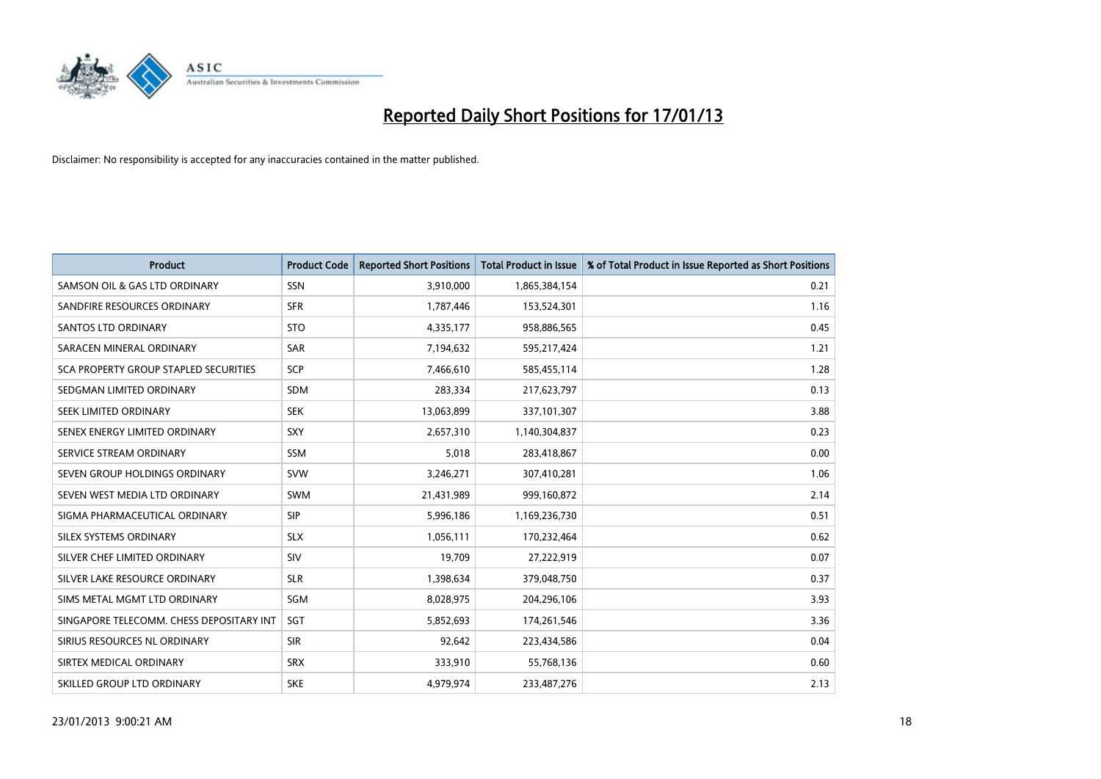

| <b>Product</b>                           | <b>Product Code</b> | <b>Reported Short Positions</b> | <b>Total Product in Issue</b> | % of Total Product in Issue Reported as Short Positions |
|------------------------------------------|---------------------|---------------------------------|-------------------------------|---------------------------------------------------------|
| SAMSON OIL & GAS LTD ORDINARY            | <b>SSN</b>          | 3,910,000                       | 1,865,384,154                 | 0.21                                                    |
| SANDFIRE RESOURCES ORDINARY              | <b>SFR</b>          | 1,787,446                       | 153,524,301                   | 1.16                                                    |
| <b>SANTOS LTD ORDINARY</b>               | <b>STO</b>          | 4,335,177                       | 958,886,565                   | 0.45                                                    |
| SARACEN MINERAL ORDINARY                 | SAR                 | 7,194,632                       | 595,217,424                   | 1.21                                                    |
| SCA PROPERTY GROUP STAPLED SECURITIES    | <b>SCP</b>          | 7,466,610                       | 585,455,114                   | 1.28                                                    |
| SEDGMAN LIMITED ORDINARY                 | <b>SDM</b>          | 283,334                         | 217,623,797                   | 0.13                                                    |
| SEEK LIMITED ORDINARY                    | <b>SEK</b>          | 13,063,899                      | 337,101,307                   | 3.88                                                    |
| SENEX ENERGY LIMITED ORDINARY            | <b>SXY</b>          | 2,657,310                       | 1,140,304,837                 | 0.23                                                    |
| SERVICE STREAM ORDINARY                  | <b>SSM</b>          | 5,018                           | 283,418,867                   | 0.00                                                    |
| SEVEN GROUP HOLDINGS ORDINARY            | <b>SVW</b>          | 3,246,271                       | 307,410,281                   | 1.06                                                    |
| SEVEN WEST MEDIA LTD ORDINARY            | <b>SWM</b>          | 21,431,989                      | 999,160,872                   | 2.14                                                    |
| SIGMA PHARMACEUTICAL ORDINARY            | <b>SIP</b>          | 5,996,186                       | 1,169,236,730                 | 0.51                                                    |
| SILEX SYSTEMS ORDINARY                   | <b>SLX</b>          | 1,056,111                       | 170,232,464                   | 0.62                                                    |
| SILVER CHEF LIMITED ORDINARY             | SIV                 | 19,709                          | 27,222,919                    | 0.07                                                    |
| SILVER LAKE RESOURCE ORDINARY            | <b>SLR</b>          | 1,398,634                       | 379,048,750                   | 0.37                                                    |
| SIMS METAL MGMT LTD ORDINARY             | SGM                 | 8,028,975                       | 204,296,106                   | 3.93                                                    |
| SINGAPORE TELECOMM. CHESS DEPOSITARY INT | SGT                 | 5,852,693                       | 174,261,546                   | 3.36                                                    |
| SIRIUS RESOURCES NL ORDINARY             | <b>SIR</b>          | 92,642                          | 223,434,586                   | 0.04                                                    |
| SIRTEX MEDICAL ORDINARY                  | <b>SRX</b>          | 333,910                         | 55,768,136                    | 0.60                                                    |
| SKILLED GROUP LTD ORDINARY               | <b>SKE</b>          | 4.979.974                       | 233,487,276                   | 2.13                                                    |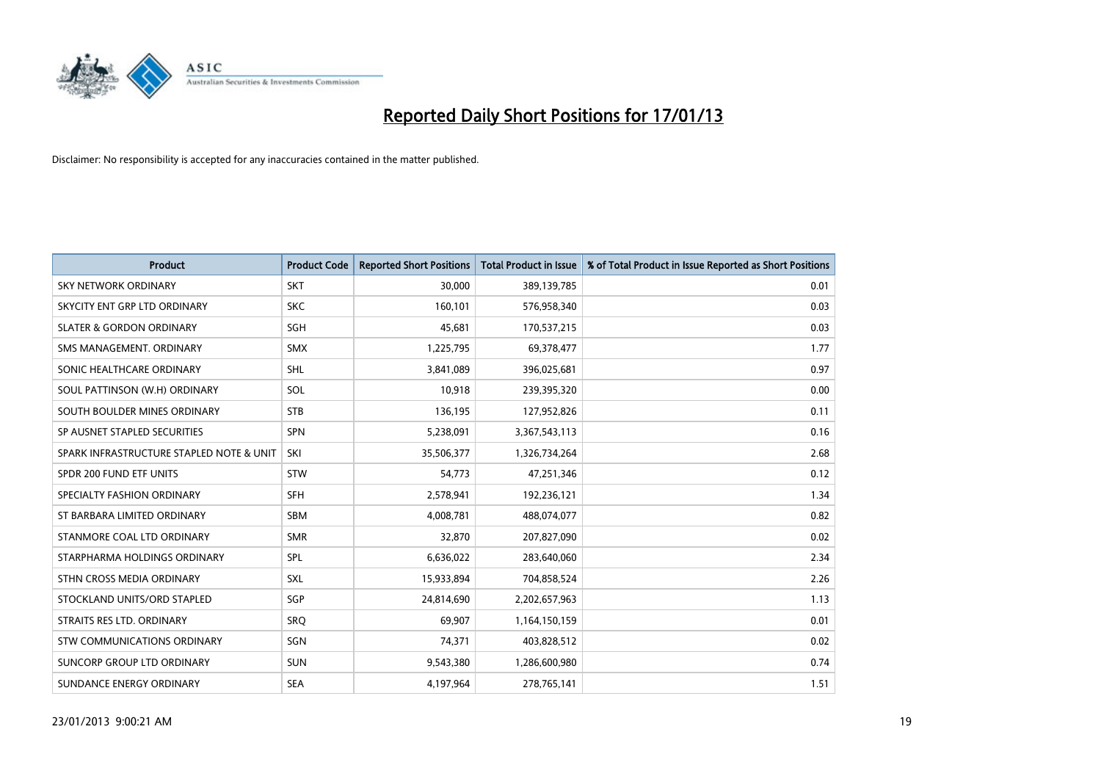

| <b>Product</b>                           | <b>Product Code</b> | <b>Reported Short Positions</b> | <b>Total Product in Issue</b> | % of Total Product in Issue Reported as Short Positions |
|------------------------------------------|---------------------|---------------------------------|-------------------------------|---------------------------------------------------------|
| <b>SKY NETWORK ORDINARY</b>              | <b>SKT</b>          | 30,000                          | 389,139,785                   | 0.01                                                    |
| SKYCITY ENT GRP LTD ORDINARY             | <b>SKC</b>          | 160,101                         | 576,958,340                   | 0.03                                                    |
| <b>SLATER &amp; GORDON ORDINARY</b>      | SGH                 | 45,681                          | 170,537,215                   | 0.03                                                    |
| SMS MANAGEMENT, ORDINARY                 | <b>SMX</b>          | 1,225,795                       | 69,378,477                    | 1.77                                                    |
| SONIC HEALTHCARE ORDINARY                | <b>SHL</b>          | 3,841,089                       | 396,025,681                   | 0.97                                                    |
| SOUL PATTINSON (W.H) ORDINARY            | SOL                 | 10,918                          | 239,395,320                   | 0.00                                                    |
| SOUTH BOULDER MINES ORDINARY             | <b>STB</b>          | 136,195                         | 127,952,826                   | 0.11                                                    |
| SP AUSNET STAPLED SECURITIES             | <b>SPN</b>          | 5,238,091                       | 3,367,543,113                 | 0.16                                                    |
| SPARK INFRASTRUCTURE STAPLED NOTE & UNIT | SKI                 | 35,506,377                      | 1,326,734,264                 | 2.68                                                    |
| SPDR 200 FUND ETF UNITS                  | <b>STW</b>          | 54,773                          | 47,251,346                    | 0.12                                                    |
| SPECIALTY FASHION ORDINARY               | <b>SFH</b>          | 2,578,941                       | 192,236,121                   | 1.34                                                    |
| ST BARBARA LIMITED ORDINARY              | <b>SBM</b>          | 4,008,781                       | 488,074,077                   | 0.82                                                    |
| STANMORE COAL LTD ORDINARY               | <b>SMR</b>          | 32,870                          | 207,827,090                   | 0.02                                                    |
| STARPHARMA HOLDINGS ORDINARY             | <b>SPL</b>          | 6,636,022                       | 283,640,060                   | 2.34                                                    |
| STHN CROSS MEDIA ORDINARY                | <b>SXL</b>          | 15,933,894                      | 704,858,524                   | 2.26                                                    |
| STOCKLAND UNITS/ORD STAPLED              | SGP                 | 24,814,690                      | 2,202,657,963                 | 1.13                                                    |
| STRAITS RES LTD. ORDINARY                | SRQ                 | 69,907                          | 1,164,150,159                 | 0.01                                                    |
| STW COMMUNICATIONS ORDINARY              | SGN                 | 74,371                          | 403,828,512                   | 0.02                                                    |
| SUNCORP GROUP LTD ORDINARY               | <b>SUN</b>          | 9,543,380                       | 1,286,600,980                 | 0.74                                                    |
| SUNDANCE ENERGY ORDINARY                 | <b>SEA</b>          | 4,197,964                       | 278,765,141                   | 1.51                                                    |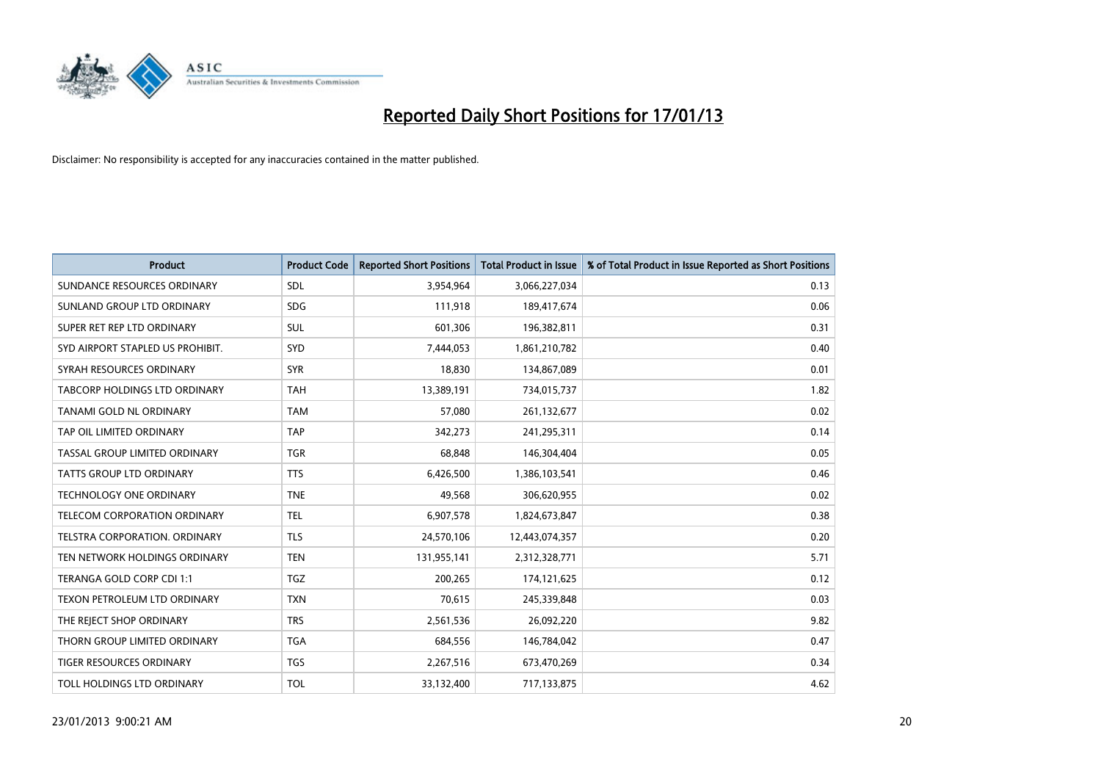

| <b>Product</b>                       | <b>Product Code</b> | <b>Reported Short Positions</b> | <b>Total Product in Issue</b> | % of Total Product in Issue Reported as Short Positions |
|--------------------------------------|---------------------|---------------------------------|-------------------------------|---------------------------------------------------------|
| SUNDANCE RESOURCES ORDINARY          | <b>SDL</b>          | 3,954,964                       | 3,066,227,034                 | 0.13                                                    |
| SUNLAND GROUP LTD ORDINARY           | <b>SDG</b>          | 111,918                         | 189,417,674                   | 0.06                                                    |
| SUPER RET REP LTD ORDINARY           | <b>SUL</b>          | 601,306                         | 196,382,811                   | 0.31                                                    |
| SYD AIRPORT STAPLED US PROHIBIT.     | <b>SYD</b>          | 7,444,053                       | 1,861,210,782                 | 0.40                                                    |
| SYRAH RESOURCES ORDINARY             | <b>SYR</b>          | 18,830                          | 134,867,089                   | 0.01                                                    |
| TABCORP HOLDINGS LTD ORDINARY        | <b>TAH</b>          | 13,389,191                      | 734,015,737                   | 1.82                                                    |
| <b>TANAMI GOLD NL ORDINARY</b>       | <b>TAM</b>          | 57,080                          | 261,132,677                   | 0.02                                                    |
| TAP OIL LIMITED ORDINARY             | <b>TAP</b>          | 342,273                         | 241,295,311                   | 0.14                                                    |
| TASSAL GROUP LIMITED ORDINARY        | <b>TGR</b>          | 68,848                          | 146,304,404                   | 0.05                                                    |
| <b>TATTS GROUP LTD ORDINARY</b>      | <b>TTS</b>          | 6,426,500                       | 1,386,103,541                 | 0.46                                                    |
| TECHNOLOGY ONE ORDINARY              | <b>TNE</b>          | 49,568                          | 306,620,955                   | 0.02                                                    |
| TELECOM CORPORATION ORDINARY         | <b>TEL</b>          | 6,907,578                       | 1,824,673,847                 | 0.38                                                    |
| <b>TELSTRA CORPORATION, ORDINARY</b> | <b>TLS</b>          | 24,570,106                      | 12,443,074,357                | 0.20                                                    |
| TEN NETWORK HOLDINGS ORDINARY        | <b>TEN</b>          | 131,955,141                     | 2,312,328,771                 | 5.71                                                    |
| TERANGA GOLD CORP CDI 1:1            | <b>TGZ</b>          | 200,265                         | 174,121,625                   | 0.12                                                    |
| TEXON PETROLEUM LTD ORDINARY         | <b>TXN</b>          | 70,615                          | 245,339,848                   | 0.03                                                    |
| THE REJECT SHOP ORDINARY             | <b>TRS</b>          | 2,561,536                       | 26,092,220                    | 9.82                                                    |
| THORN GROUP LIMITED ORDINARY         | <b>TGA</b>          | 684,556                         | 146,784,042                   | 0.47                                                    |
| TIGER RESOURCES ORDINARY             | <b>TGS</b>          | 2,267,516                       | 673,470,269                   | 0.34                                                    |
| TOLL HOLDINGS LTD ORDINARY           | <b>TOL</b>          | 33,132,400                      | 717,133,875                   | 4.62                                                    |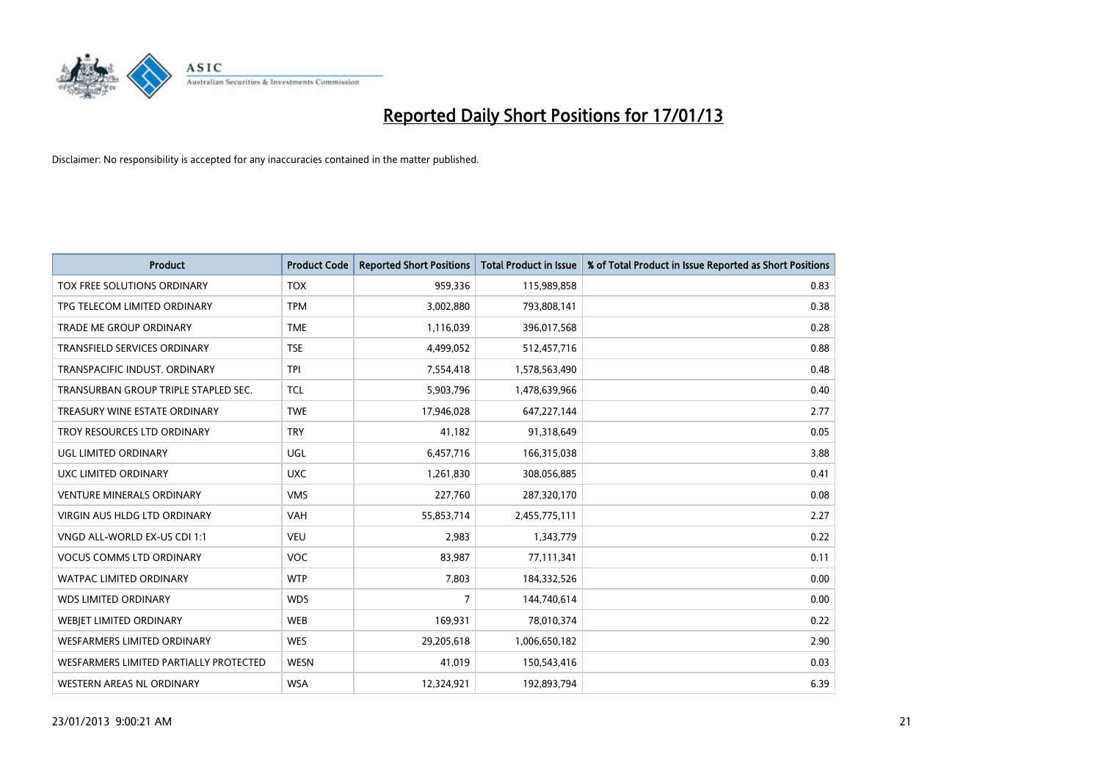

| <b>Product</b>                         | <b>Product Code</b> | <b>Reported Short Positions</b> | <b>Total Product in Issue</b> | % of Total Product in Issue Reported as Short Positions |
|----------------------------------------|---------------------|---------------------------------|-------------------------------|---------------------------------------------------------|
| TOX FREE SOLUTIONS ORDINARY            | <b>TOX</b>          | 959,336                         | 115,989,858                   | 0.83                                                    |
| TPG TELECOM LIMITED ORDINARY           | <b>TPM</b>          | 3,002,880                       | 793,808,141                   | 0.38                                                    |
| <b>TRADE ME GROUP ORDINARY</b>         | <b>TME</b>          | 1,116,039                       | 396,017,568                   | 0.28                                                    |
| <b>TRANSFIELD SERVICES ORDINARY</b>    | <b>TSE</b>          | 4,499,052                       | 512,457,716                   | 0.88                                                    |
| <b>TRANSPACIFIC INDUST, ORDINARY</b>   | <b>TPI</b>          | 7,554,418                       | 1,578,563,490                 | 0.48                                                    |
| TRANSURBAN GROUP TRIPLE STAPLED SEC.   | <b>TCL</b>          | 5,903,796                       | 1,478,639,966                 | 0.40                                                    |
| TREASURY WINE ESTATE ORDINARY          | <b>TWE</b>          | 17,946,028                      | 647,227,144                   | 2.77                                                    |
| TROY RESOURCES LTD ORDINARY            | <b>TRY</b>          | 41,182                          | 91,318,649                    | 0.05                                                    |
| UGL LIMITED ORDINARY                   | UGL                 | 6,457,716                       | 166,315,038                   | 3.88                                                    |
| UXC LIMITED ORDINARY                   | <b>UXC</b>          | 1,261,830                       | 308,056,885                   | 0.41                                                    |
| <b>VENTURE MINERALS ORDINARY</b>       | <b>VMS</b>          | 227,760                         | 287,320,170                   | 0.08                                                    |
| <b>VIRGIN AUS HLDG LTD ORDINARY</b>    | <b>VAH</b>          | 55,853,714                      | 2,455,775,111                 | 2.27                                                    |
| VNGD ALL-WORLD EX-US CDI 1:1           | <b>VEU</b>          | 2,983                           | 1,343,779                     | 0.22                                                    |
| <b>VOCUS COMMS LTD ORDINARY</b>        | <b>VOC</b>          | 83,987                          | 77,111,341                    | 0.11                                                    |
| <b>WATPAC LIMITED ORDINARY</b>         | <b>WTP</b>          | 7,803                           | 184,332,526                   | 0.00                                                    |
| <b>WDS LIMITED ORDINARY</b>            | <b>WDS</b>          | 7                               | 144,740,614                   | 0.00                                                    |
| WEBIET LIMITED ORDINARY                | <b>WEB</b>          | 169,931                         | 78,010,374                    | 0.22                                                    |
| <b>WESFARMERS LIMITED ORDINARY</b>     | <b>WES</b>          | 29,205,618                      | 1,006,650,182                 | 2.90                                                    |
| WESFARMERS LIMITED PARTIALLY PROTECTED | <b>WESN</b>         | 41,019                          | 150,543,416                   | 0.03                                                    |
| WESTERN AREAS NL ORDINARY              | <b>WSA</b>          | 12,324,921                      | 192,893,794                   | 6.39                                                    |